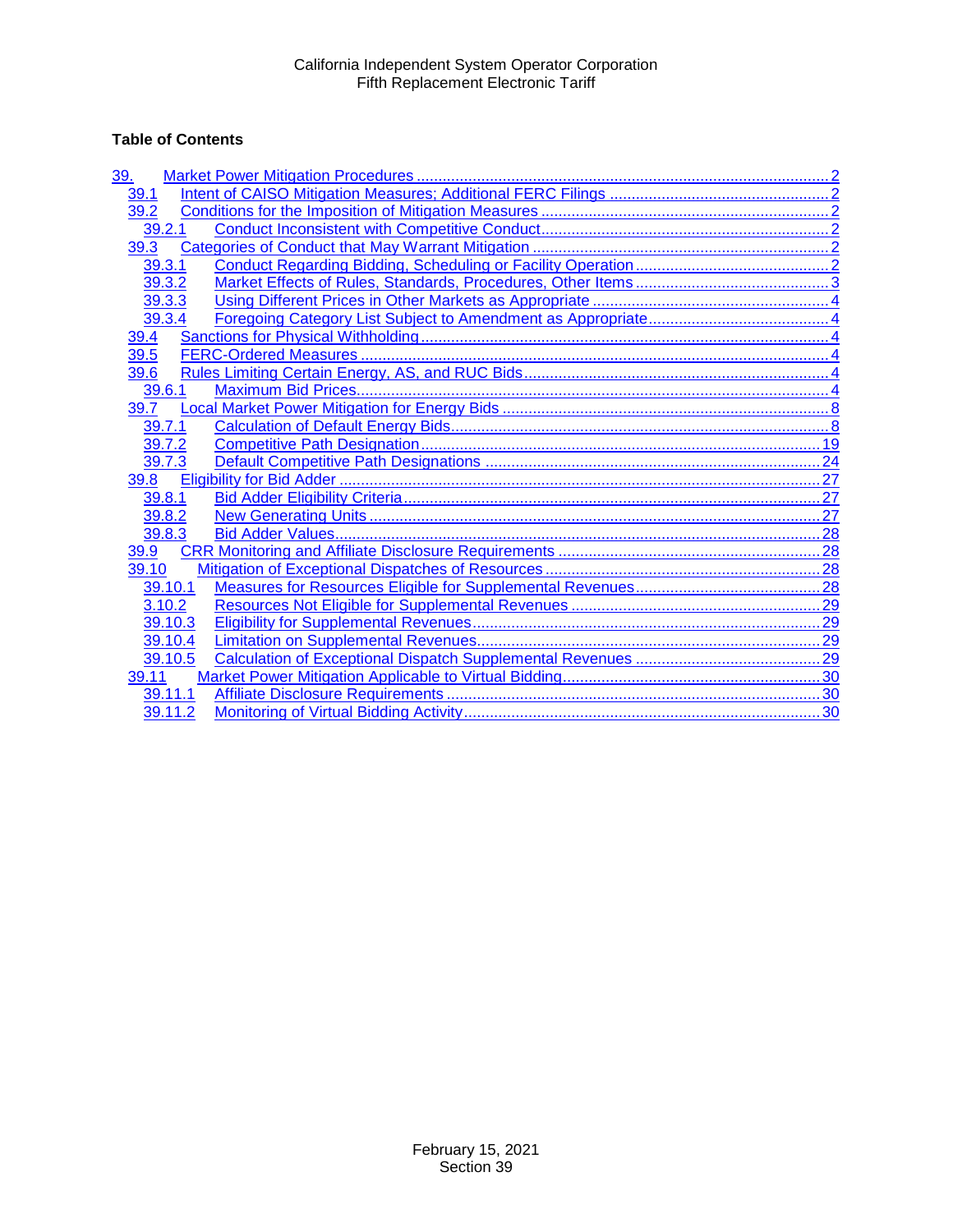# **Table of Contents**

| <u>39.</u> |  |
|------------|--|
| 39.1       |  |
| 39.2       |  |
| 39.2.1     |  |
| 39.3       |  |
| 39.3.1     |  |
| 39.3.2     |  |
| 39.3.3     |  |
| 39.3.4     |  |
| 39.4       |  |
| 39.5       |  |
| 39.6       |  |
| 39.6.1     |  |
| 39.7       |  |
| 39.7.1     |  |
| 39.7.2     |  |
| 39.7.3     |  |
| 39.8       |  |
| 39.8.1     |  |
| 39.8.2     |  |
| 39.8.3     |  |
| 39.9       |  |
| 39.10      |  |
| 39.10.1    |  |
| 3.10.2     |  |
| 39.10.3    |  |
| 39.10.4    |  |
| 39.10.5    |  |
| 39.11      |  |
| 39.11.1    |  |
| 39.11.2    |  |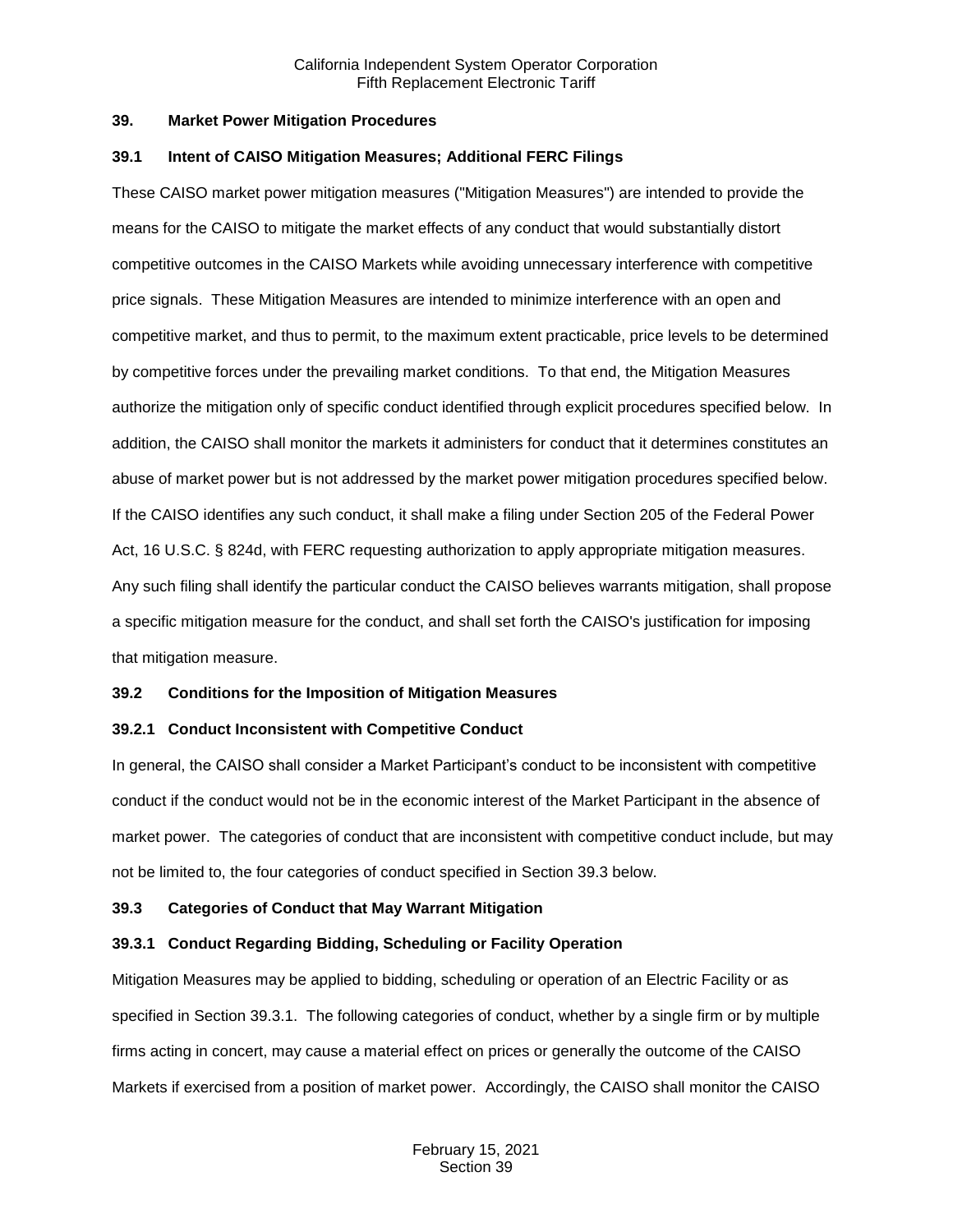#### <span id="page-1-0"></span>**39. Market Power Mitigation Procedures**

#### <span id="page-1-1"></span>**39.1 Intent of CAISO Mitigation Measures; Additional FERC Filings**

These CAISO market power mitigation measures ("Mitigation Measures") are intended to provide the means for the CAISO to mitigate the market effects of any conduct that would substantially distort competitive outcomes in the CAISO Markets while avoiding unnecessary interference with competitive price signals. These Mitigation Measures are intended to minimize interference with an open and competitive market, and thus to permit, to the maximum extent practicable, price levels to be determined by competitive forces under the prevailing market conditions. To that end, the Mitigation Measures authorize the mitigation only of specific conduct identified through explicit procedures specified below. In addition, the CAISO shall monitor the markets it administers for conduct that it determines constitutes an abuse of market power but is not addressed by the market power mitigation procedures specified below. If the CAISO identifies any such conduct, it shall make a filing under Section 205 of the Federal Power Act, 16 U.S.C. § 824d, with FERC requesting authorization to apply appropriate mitigation measures. Any such filing shall identify the particular conduct the CAISO believes warrants mitigation, shall propose a specific mitigation measure for the conduct, and shall set forth the CAISO's justification for imposing that mitigation measure.

## <span id="page-1-2"></span>**39.2 Conditions for the Imposition of Mitigation Measures**

## <span id="page-1-3"></span>**39.2.1 Conduct Inconsistent with Competitive Conduct**

In general, the CAISO shall consider a Market Participant's conduct to be inconsistent with competitive conduct if the conduct would not be in the economic interest of the Market Participant in the absence of market power. The categories of conduct that are inconsistent with competitive conduct include, but may not be limited to, the four categories of conduct specified in Section 39.3 below.

## <span id="page-1-4"></span>**39.3 Categories of Conduct that May Warrant Mitigation**

## <span id="page-1-5"></span>**39.3.1 Conduct Regarding Bidding, Scheduling or Facility Operation**

Mitigation Measures may be applied to bidding, scheduling or operation of an Electric Facility or as specified in Section 39.3.1. The following categories of conduct, whether by a single firm or by multiple firms acting in concert, may cause a material effect on prices or generally the outcome of the CAISO Markets if exercised from a position of market power. Accordingly, the CAISO shall monitor the CAISO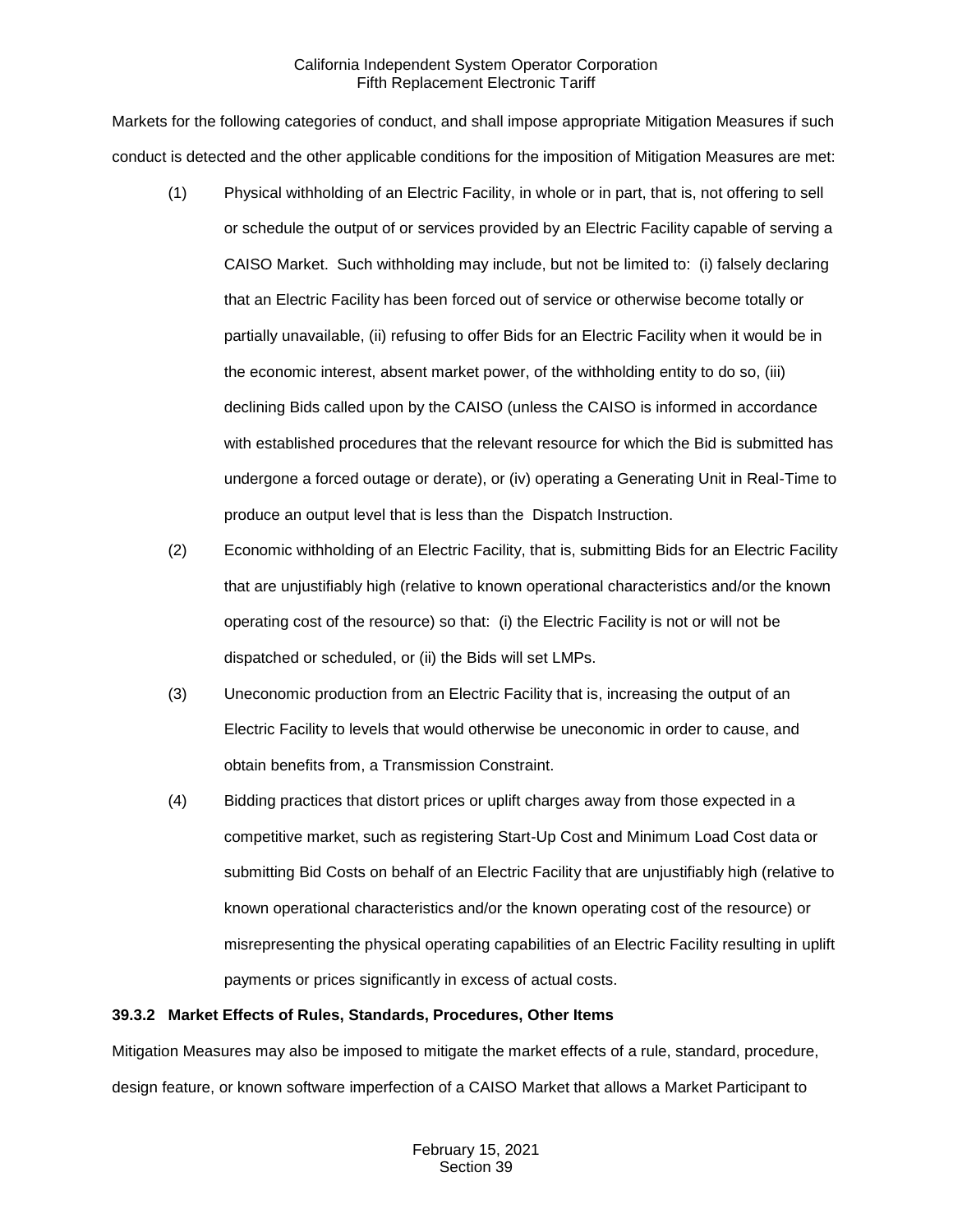Markets for the following categories of conduct, and shall impose appropriate Mitigation Measures if such conduct is detected and the other applicable conditions for the imposition of Mitigation Measures are met:

- (1) Physical withholding of an Electric Facility, in whole or in part, that is, not offering to sell or schedule the output of or services provided by an Electric Facility capable of serving a CAISO Market. Such withholding may include, but not be limited to: (i) falsely declaring that an Electric Facility has been forced out of service or otherwise become totally or partially unavailable, (ii) refusing to offer Bids for an Electric Facility when it would be in the economic interest, absent market power, of the withholding entity to do so, (iii) declining Bids called upon by the CAISO (unless the CAISO is informed in accordance with established procedures that the relevant resource for which the Bid is submitted has undergone a forced outage or derate), or (iv) operating a Generating Unit in Real-Time to produce an output level that is less than the Dispatch Instruction.
- (2) Economic withholding of an Electric Facility, that is, submitting Bids for an Electric Facility that are unjustifiably high (relative to known operational characteristics and/or the known operating cost of the resource) so that: (i) the Electric Facility is not or will not be dispatched or scheduled, or (ii) the Bids will set LMPs.
- (3) Uneconomic production from an Electric Facility that is, increasing the output of an Electric Facility to levels that would otherwise be uneconomic in order to cause, and obtain benefits from, a Transmission Constraint.
- (4) Bidding practices that distort prices or uplift charges away from those expected in a competitive market, such as registering Start-Up Cost and Minimum Load Cost data or submitting Bid Costs on behalf of an Electric Facility that are unjustifiably high (relative to known operational characteristics and/or the known operating cost of the resource) or misrepresenting the physical operating capabilities of an Electric Facility resulting in uplift payments or prices significantly in excess of actual costs.

## <span id="page-2-0"></span>**39.3.2 Market Effects of Rules, Standards, Procedures, Other Items**

Mitigation Measures may also be imposed to mitigate the market effects of a rule, standard, procedure, design feature, or known software imperfection of a CAISO Market that allows a Market Participant to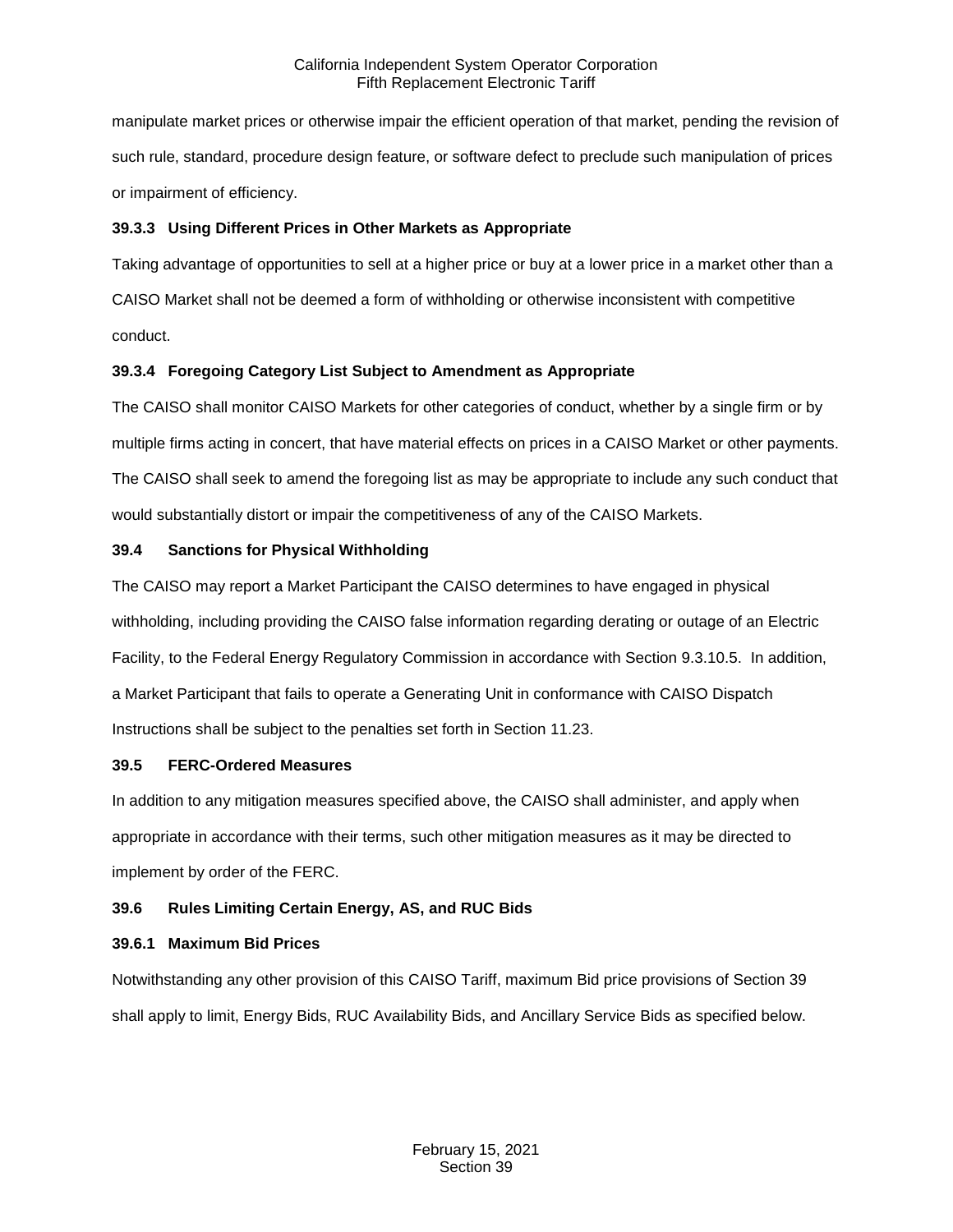manipulate market prices or otherwise impair the efficient operation of that market, pending the revision of such rule, standard, procedure design feature, or software defect to preclude such manipulation of prices or impairment of efficiency.

# <span id="page-3-0"></span>**39.3.3 Using Different Prices in Other Markets as Appropriate**

Taking advantage of opportunities to sell at a higher price or buy at a lower price in a market other than a CAISO Market shall not be deemed a form of withholding or otherwise inconsistent with competitive conduct.

# <span id="page-3-1"></span>**39.3.4 Foregoing Category List Subject to Amendment as Appropriate**

The CAISO shall monitor CAISO Markets for other categories of conduct, whether by a single firm or by multiple firms acting in concert, that have material effects on prices in a CAISO Market or other payments. The CAISO shall seek to amend the foregoing list as may be appropriate to include any such conduct that would substantially distort or impair the competitiveness of any of the CAISO Markets.

# <span id="page-3-2"></span>**39.4 Sanctions for Physical Withholding**

The CAISO may report a Market Participant the CAISO determines to have engaged in physical withholding, including providing the CAISO false information regarding derating or outage of an Electric Facility, to the Federal Energy Regulatory Commission in accordance with Section 9.3.10.5. In addition, a Market Participant that fails to operate a Generating Unit in conformance with CAISO Dispatch Instructions shall be subject to the penalties set forth in Section 11.23.

## <span id="page-3-3"></span>**39.5 FERC-Ordered Measures**

In addition to any mitigation measures specified above, the CAISO shall administer, and apply when appropriate in accordance with their terms, such other mitigation measures as it may be directed to implement by order of the FERC.

# <span id="page-3-4"></span>**39.6 Rules Limiting Certain Energy, AS, and RUC Bids**

## <span id="page-3-5"></span>**39.6.1 Maximum Bid Prices**

Notwithstanding any other provision of this CAISO Tariff, maximum Bid price provisions of Section 39 shall apply to limit, Energy Bids, RUC Availability Bids, and Ancillary Service Bids as specified below.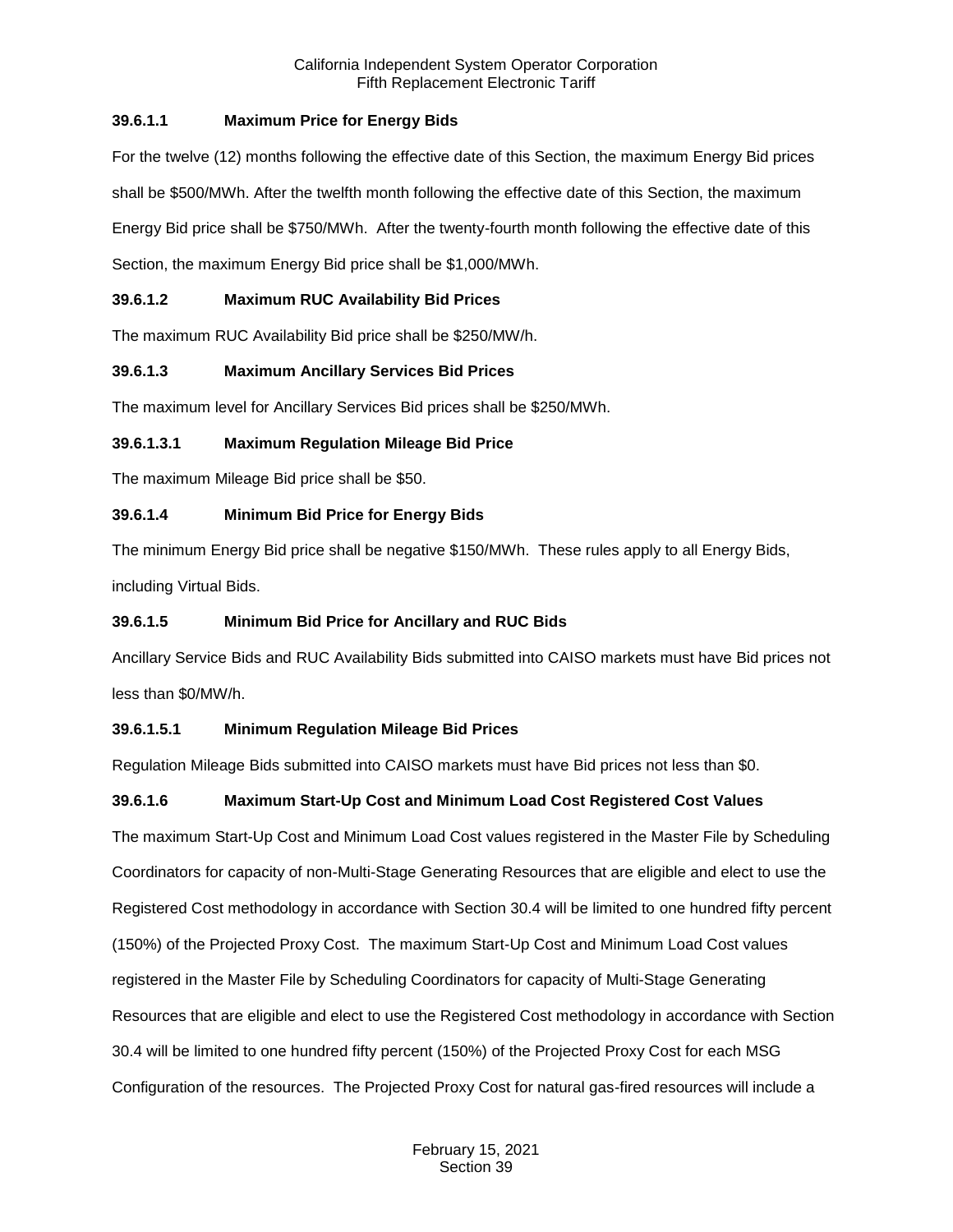# **39.6.1.1 Maximum Price for Energy Bids**

For the twelve (12) months following the effective date of this Section, the maximum Energy Bid prices shall be \$500/MWh. After the twelfth month following the effective date of this Section, the maximum Energy Bid price shall be \$750/MWh. After the twenty-fourth month following the effective date of this Section, the maximum Energy Bid price shall be \$1,000/MWh.

# **39.6.1.2 Maximum RUC Availability Bid Prices**

The maximum RUC Availability Bid price shall be \$250/MW/h.

# **39.6.1.3 Maximum Ancillary Services Bid Prices**

The maximum level for Ancillary Services Bid prices shall be \$250/MWh.

## **39.6.1.3.1 Maximum Regulation Mileage Bid Price**

The maximum Mileage Bid price shall be \$50.

## **39.6.1.4 Minimum Bid Price for Energy Bids**

The minimum Energy Bid price shall be negative \$150/MWh. These rules apply to all Energy Bids, including Virtual Bids.

## **39.6.1.5 Minimum Bid Price for Ancillary and RUC Bids**

Ancillary Service Bids and RUC Availability Bids submitted into CAISO markets must have Bid prices not less than \$0/MW/h.

## **39.6.1.5.1 Minimum Regulation Mileage Bid Prices**

Regulation Mileage Bids submitted into CAISO markets must have Bid prices not less than \$0.

# **39.6.1.6 Maximum Start-Up Cost and Minimum Load Cost Registered Cost Values**

The maximum Start-Up Cost and Minimum Load Cost values registered in the Master File by Scheduling Coordinators for capacity of non-Multi-Stage Generating Resources that are eligible and elect to use the Registered Cost methodology in accordance with Section 30.4 will be limited to one hundred fifty percent (150%) of the Projected Proxy Cost. The maximum Start-Up Cost and Minimum Load Cost values registered in the Master File by Scheduling Coordinators for capacity of Multi-Stage Generating Resources that are eligible and elect to use the Registered Cost methodology in accordance with Section 30.4 will be limited to one hundred fifty percent (150%) of the Projected Proxy Cost for each MSG Configuration of the resources. The Projected Proxy Cost for natural gas-fired resources will include a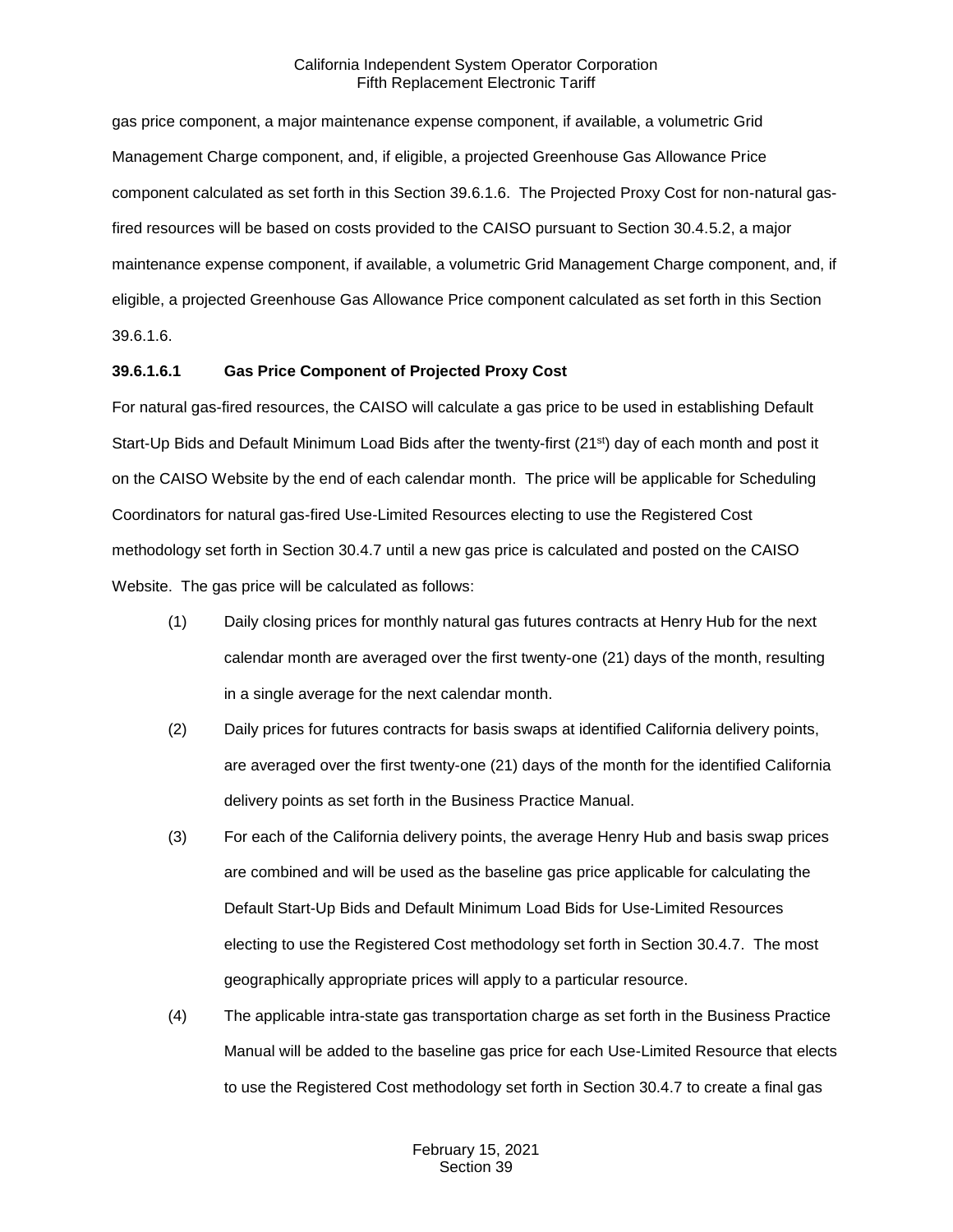gas price component, a major maintenance expense component, if available, a volumetric Grid Management Charge component, and, if eligible, a projected Greenhouse Gas Allowance Price component calculated as set forth in this Section 39.6.1.6. The Projected Proxy Cost for non-natural gasfired resources will be based on costs provided to the CAISO pursuant to Section 30.4.5.2, a major maintenance expense component, if available, a volumetric Grid Management Charge component, and, if eligible, a projected Greenhouse Gas Allowance Price component calculated as set forth in this Section 39.6.1.6.

## **39.6.1.6.1 Gas Price Component of Projected Proxy Cost**

For natural gas-fired resources, the CAISO will calculate a gas price to be used in establishing Default Start-Up Bids and Default Minimum Load Bids after the twenty-first (21<sup>st</sup>) day of each month and post it on the CAISO Website by the end of each calendar month. The price will be applicable for Scheduling Coordinators for natural gas-fired Use-Limited Resources electing to use the Registered Cost methodology set forth in Section 30.4.7 until a new gas price is calculated and posted on the CAISO Website. The gas price will be calculated as follows:

- (1) Daily closing prices for monthly natural gas futures contracts at Henry Hub for the next calendar month are averaged over the first twenty-one (21) days of the month, resulting in a single average for the next calendar month.
- (2) Daily prices for futures contracts for basis swaps at identified California delivery points, are averaged over the first twenty-one (21) days of the month for the identified California delivery points as set forth in the Business Practice Manual.
- (3) For each of the California delivery points, the average Henry Hub and basis swap prices are combined and will be used as the baseline gas price applicable for calculating the Default Start-Up Bids and Default Minimum Load Bids for Use-Limited Resources electing to use the Registered Cost methodology set forth in Section 30.4.7. The most geographically appropriate prices will apply to a particular resource.
- (4) The applicable intra-state gas transportation charge as set forth in the Business Practice Manual will be added to the baseline gas price for each Use-Limited Resource that elects to use the Registered Cost methodology set forth in Section 30.4.7 to create a final gas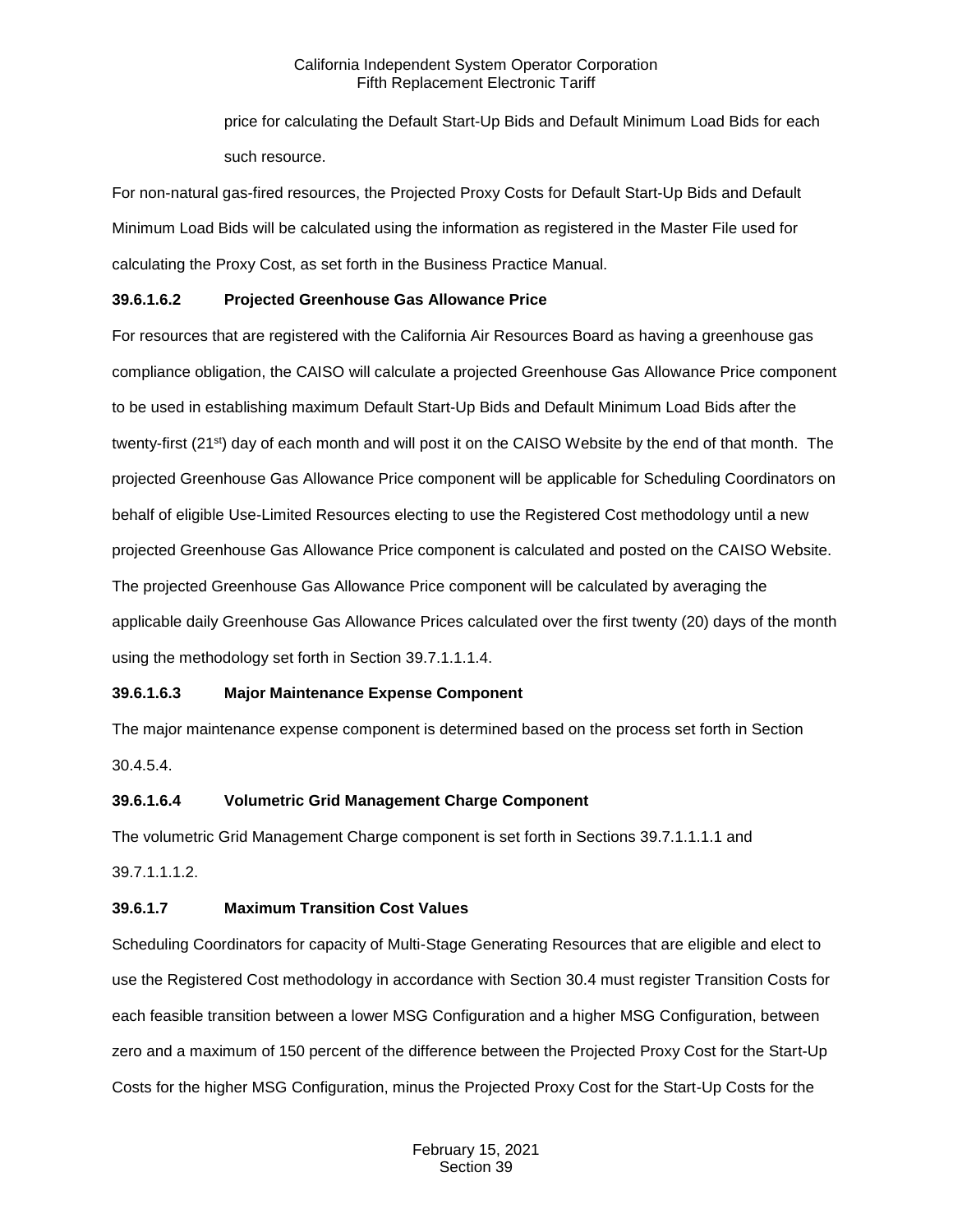price for calculating the Default Start-Up Bids and Default Minimum Load Bids for each such resource.

For non-natural gas-fired resources, the Projected Proxy Costs for Default Start-Up Bids and Default Minimum Load Bids will be calculated using the information as registered in the Master File used for calculating the Proxy Cost, as set forth in the Business Practice Manual.

## **39.6.1.6.2 Projected Greenhouse Gas Allowance Price**

For resources that are registered with the California Air Resources Board as having a greenhouse gas compliance obligation, the CAISO will calculate a projected Greenhouse Gas Allowance Price component to be used in establishing maximum Default Start-Up Bids and Default Minimum Load Bids after the twenty-first (21st) day of each month and will post it on the CAISO Website by the end of that month. The projected Greenhouse Gas Allowance Price component will be applicable for Scheduling Coordinators on behalf of eligible Use-Limited Resources electing to use the Registered Cost methodology until a new projected Greenhouse Gas Allowance Price component is calculated and posted on the CAISO Website. The projected Greenhouse Gas Allowance Price component will be calculated by averaging the applicable daily Greenhouse Gas Allowance Prices calculated over the first twenty (20) days of the month using the methodology set forth in Section 39.7.1.1.1.4.

## **39.6.1.6.3 Major Maintenance Expense Component**

The major maintenance expense component is determined based on the process set forth in Section 30.4.5.4.

## **39.6.1.6.4 Volumetric Grid Management Charge Component**

The volumetric Grid Management Charge component is set forth in Sections 39.7.1.1.1.1 and

39.7.1.1.1.2.

## **39.6.1.7 Maximum Transition Cost Values**

Scheduling Coordinators for capacity of Multi-Stage Generating Resources that are eligible and elect to use the Registered Cost methodology in accordance with Section 30.4 must register Transition Costs for each feasible transition between a lower MSG Configuration and a higher MSG Configuration, between zero and a maximum of 150 percent of the difference between the Projected Proxy Cost for the Start-Up Costs for the higher MSG Configuration, minus the Projected Proxy Cost for the Start-Up Costs for the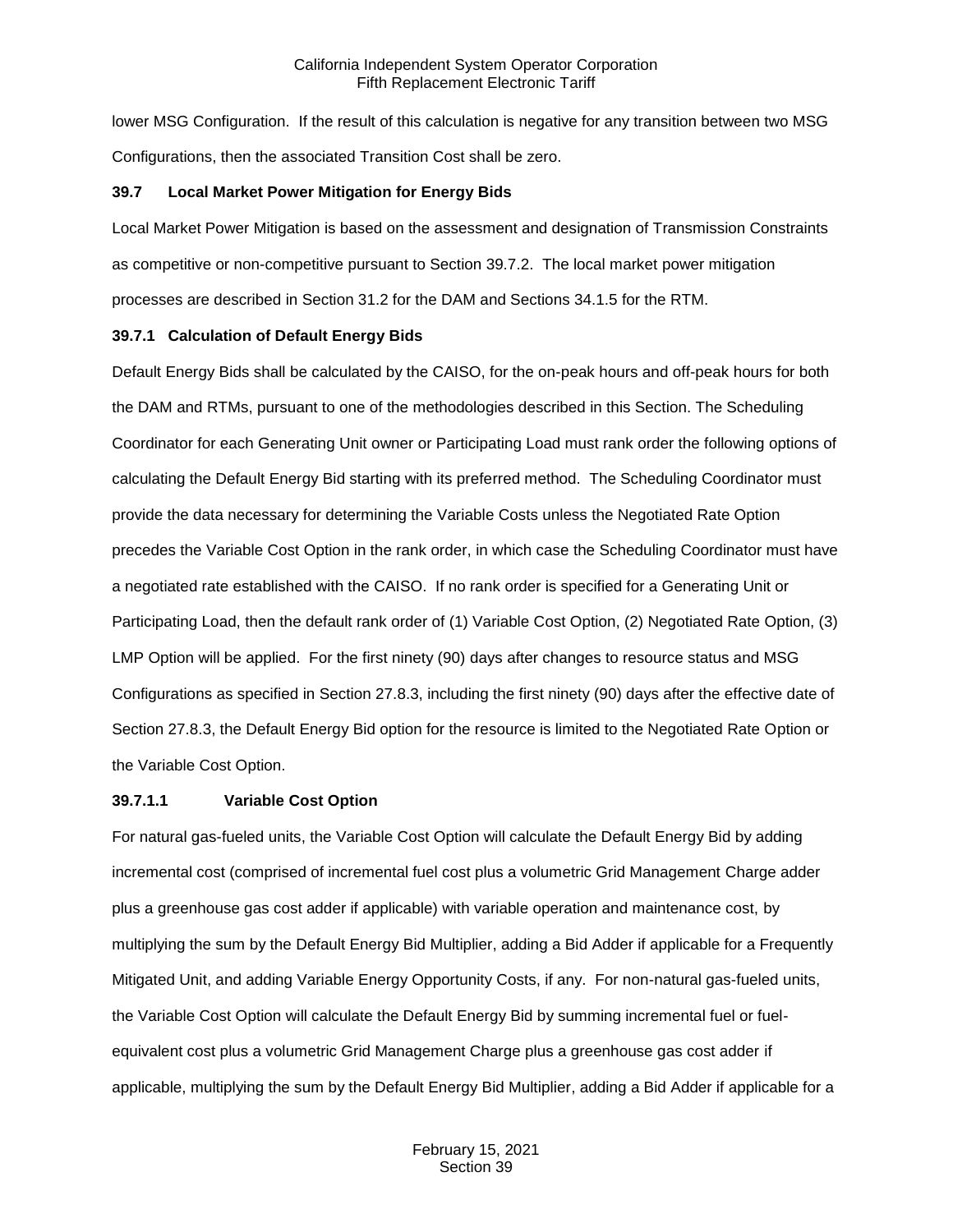lower MSG Configuration. If the result of this calculation is negative for any transition between two MSG Configurations, then the associated Transition Cost shall be zero.

#### <span id="page-7-0"></span>**39.7 Local Market Power Mitigation for Energy Bids**

Local Market Power Mitigation is based on the assessment and designation of Transmission Constraints as competitive or non-competitive pursuant to Section 39.7.2. The local market power mitigation processes are described in Section 31.2 for the DAM and Sections 34.1.5 for the RTM.

#### <span id="page-7-1"></span>**39.7.1 Calculation of Default Energy Bids**

Default Energy Bids shall be calculated by the CAISO, for the on-peak hours and off-peak hours for both the DAM and RTMs, pursuant to one of the methodologies described in this Section. The Scheduling Coordinator for each Generating Unit owner or Participating Load must rank order the following options of calculating the Default Energy Bid starting with its preferred method. The Scheduling Coordinator must provide the data necessary for determining the Variable Costs unless the Negotiated Rate Option precedes the Variable Cost Option in the rank order, in which case the Scheduling Coordinator must have a negotiated rate established with the CAISO. If no rank order is specified for a Generating Unit or Participating Load, then the default rank order of (1) Variable Cost Option, (2) Negotiated Rate Option, (3) LMP Option will be applied. For the first ninety (90) days after changes to resource status and MSG Configurations as specified in Section 27.8.3, including the first ninety (90) days after the effective date of Section 27.8.3, the Default Energy Bid option for the resource is limited to the Negotiated Rate Option or the Variable Cost Option.

#### **39.7.1.1 Variable Cost Option**

For natural gas-fueled units, the Variable Cost Option will calculate the Default Energy Bid by adding incremental cost (comprised of incremental fuel cost plus a volumetric Grid Management Charge adder plus a greenhouse gas cost adder if applicable) with variable operation and maintenance cost, by multiplying the sum by the Default Energy Bid Multiplier, adding a Bid Adder if applicable for a Frequently Mitigated Unit, and adding Variable Energy Opportunity Costs, if any. For non-natural gas-fueled units, the Variable Cost Option will calculate the Default Energy Bid by summing incremental fuel or fuelequivalent cost plus a volumetric Grid Management Charge plus a greenhouse gas cost adder if applicable, multiplying the sum by the Default Energy Bid Multiplier, adding a Bid Adder if applicable for a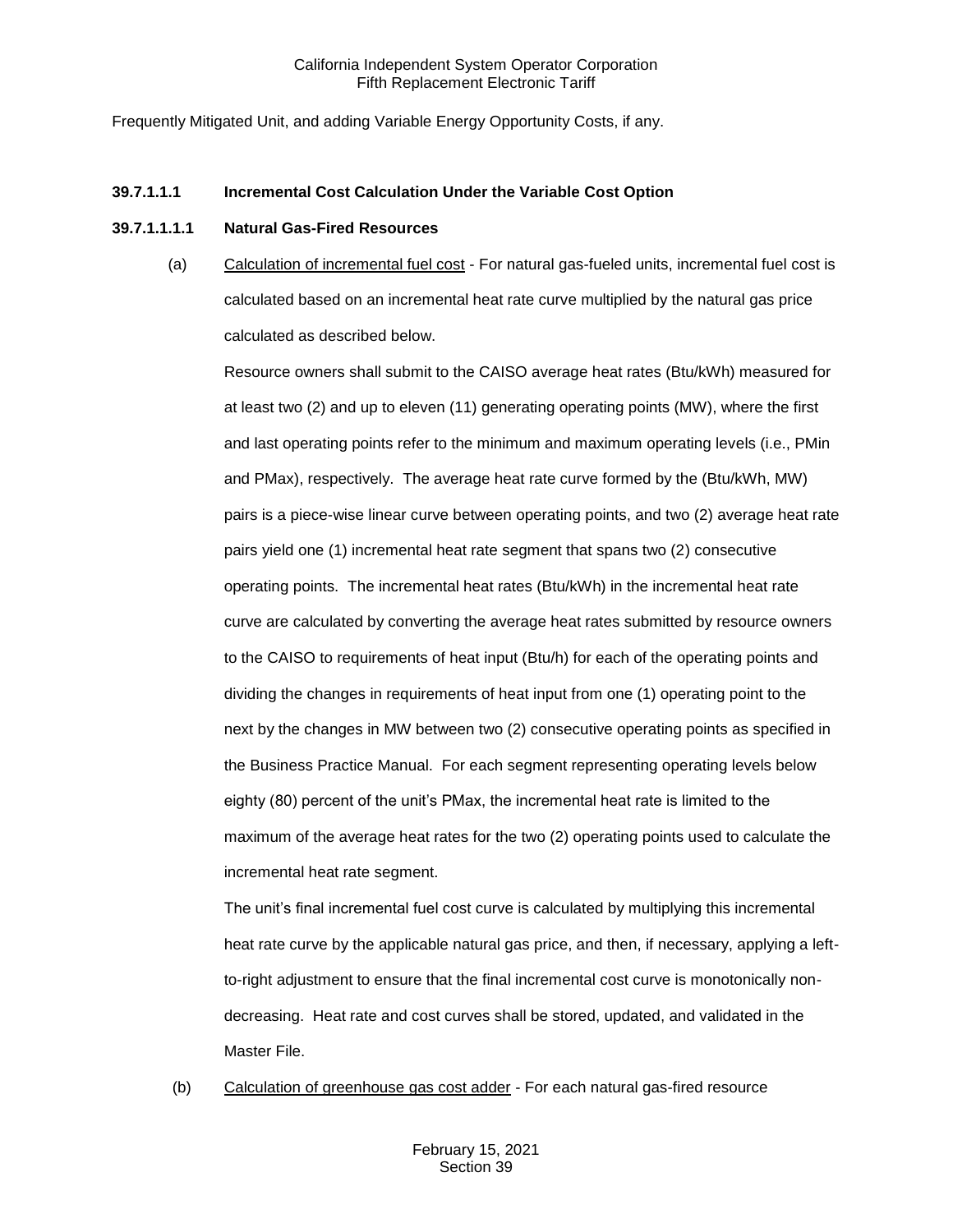Frequently Mitigated Unit, and adding Variable Energy Opportunity Costs, if any.

#### **39.7.1.1.1 Incremental Cost Calculation Under the Variable Cost Option**

#### **39.7.1.1.1.1 Natural Gas-Fired Resources**

(a) Calculation of incremental fuel cost - For natural gas-fueled units, incremental fuel cost is calculated based on an incremental heat rate curve multiplied by the natural gas price calculated as described below.

Resource owners shall submit to the CAISO average heat rates (Btu/kWh) measured for at least two (2) and up to eleven (11) generating operating points (MW), where the first and last operating points refer to the minimum and maximum operating levels (i.e., PMin and PMax), respectively. The average heat rate curve formed by the (Btu/kWh, MW) pairs is a piece-wise linear curve between operating points, and two (2) average heat rate pairs yield one (1) incremental heat rate segment that spans two (2) consecutive operating points. The incremental heat rates (Btu/kWh) in the incremental heat rate curve are calculated by converting the average heat rates submitted by resource owners to the CAISO to requirements of heat input (Btu/h) for each of the operating points and dividing the changes in requirements of heat input from one (1) operating point to the next by the changes in MW between two (2) consecutive operating points as specified in the Business Practice Manual. For each segment representing operating levels below eighty (80) percent of the unit's PMax, the incremental heat rate is limited to the maximum of the average heat rates for the two (2) operating points used to calculate the incremental heat rate segment.

The unit's final incremental fuel cost curve is calculated by multiplying this incremental heat rate curve by the applicable natural gas price, and then, if necessary, applying a leftto-right adjustment to ensure that the final incremental cost curve is monotonically nondecreasing. Heat rate and cost curves shall be stored, updated, and validated in the Master File.

(b) Calculation of greenhouse gas cost adder - For each natural gas-fired resource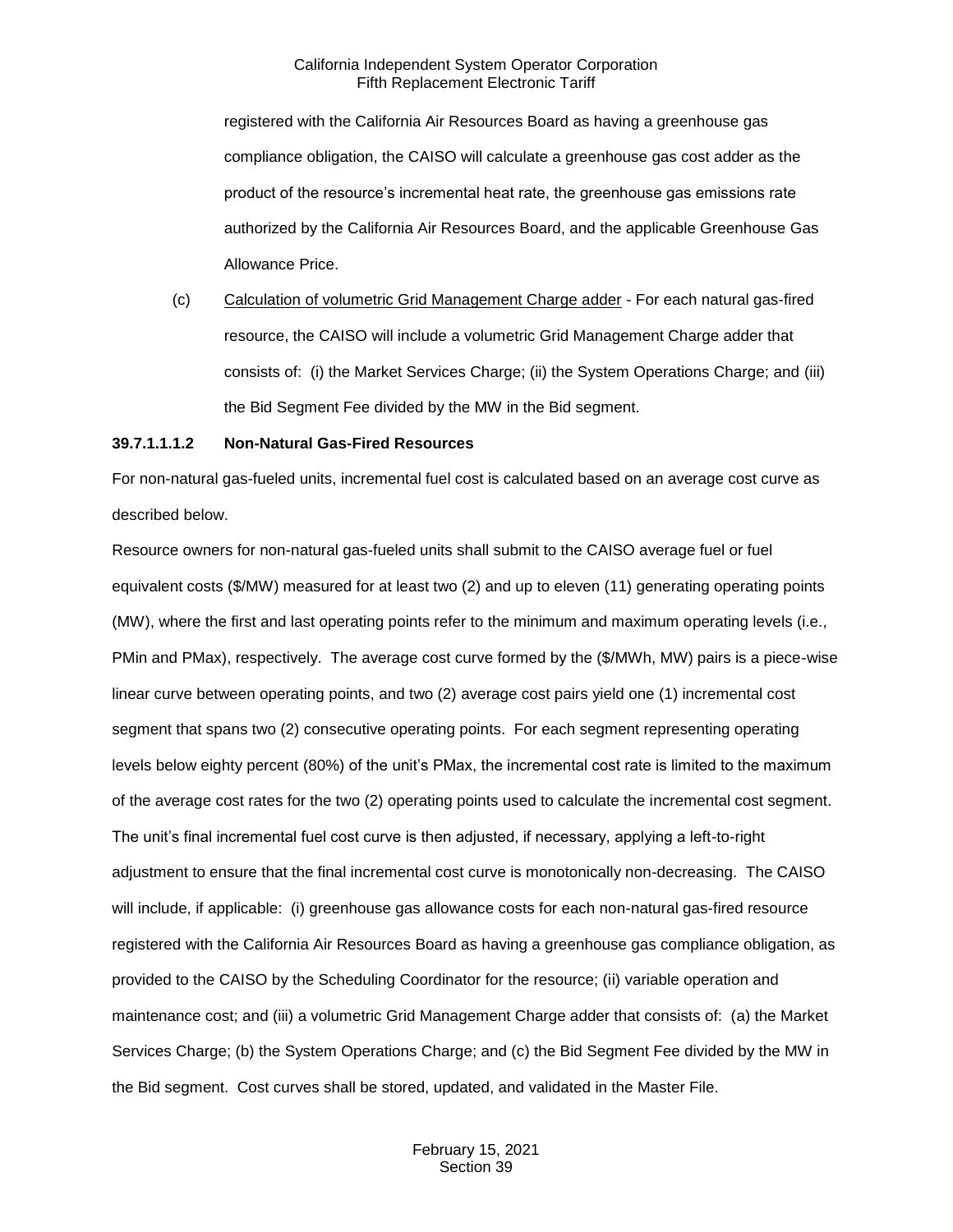registered with the California Air Resources Board as having a greenhouse gas compliance obligation, the CAISO will calculate a greenhouse gas cost adder as the product of the resource's incremental heat rate, the greenhouse gas emissions rate authorized by the California Air Resources Board, and the applicable Greenhouse Gas Allowance Price.

(c) Calculation of volumetric Grid Management Charge adder - For each natural gas-fired resource, the CAISO will include a volumetric Grid Management Charge adder that consists of: (i) the Market Services Charge; (ii) the System Operations Charge; and (iii) the Bid Segment Fee divided by the MW in the Bid segment.

#### **39.7.1.1.1.2 Non-Natural Gas-Fired Resources**

For non-natural gas-fueled units, incremental fuel cost is calculated based on an average cost curve as described below.

Resource owners for non-natural gas-fueled units shall submit to the CAISO average fuel or fuel equivalent costs (\$/MW) measured for at least two (2) and up to eleven (11) generating operating points (MW), where the first and last operating points refer to the minimum and maximum operating levels (i.e., PMin and PMax), respectively. The average cost curve formed by the (\$/MWh, MW) pairs is a piece-wise linear curve between operating points, and two (2) average cost pairs yield one (1) incremental cost segment that spans two (2) consecutive operating points. For each segment representing operating levels below eighty percent (80%) of the unit's PMax, the incremental cost rate is limited to the maximum of the average cost rates for the two (2) operating points used to calculate the incremental cost segment. The unit's final incremental fuel cost curve is then adjusted, if necessary, applying a left-to-right adjustment to ensure that the final incremental cost curve is monotonically non-decreasing. The CAISO will include, if applicable: (i) greenhouse gas allowance costs for each non-natural gas-fired resource registered with the California Air Resources Board as having a greenhouse gas compliance obligation, as provided to the CAISO by the Scheduling Coordinator for the resource; (ii) variable operation and maintenance cost; and (iii) a volumetric Grid Management Charge adder that consists of: (a) the Market Services Charge; (b) the System Operations Charge; and (c) the Bid Segment Fee divided by the MW in the Bid segment. Cost curves shall be stored, updated, and validated in the Master File.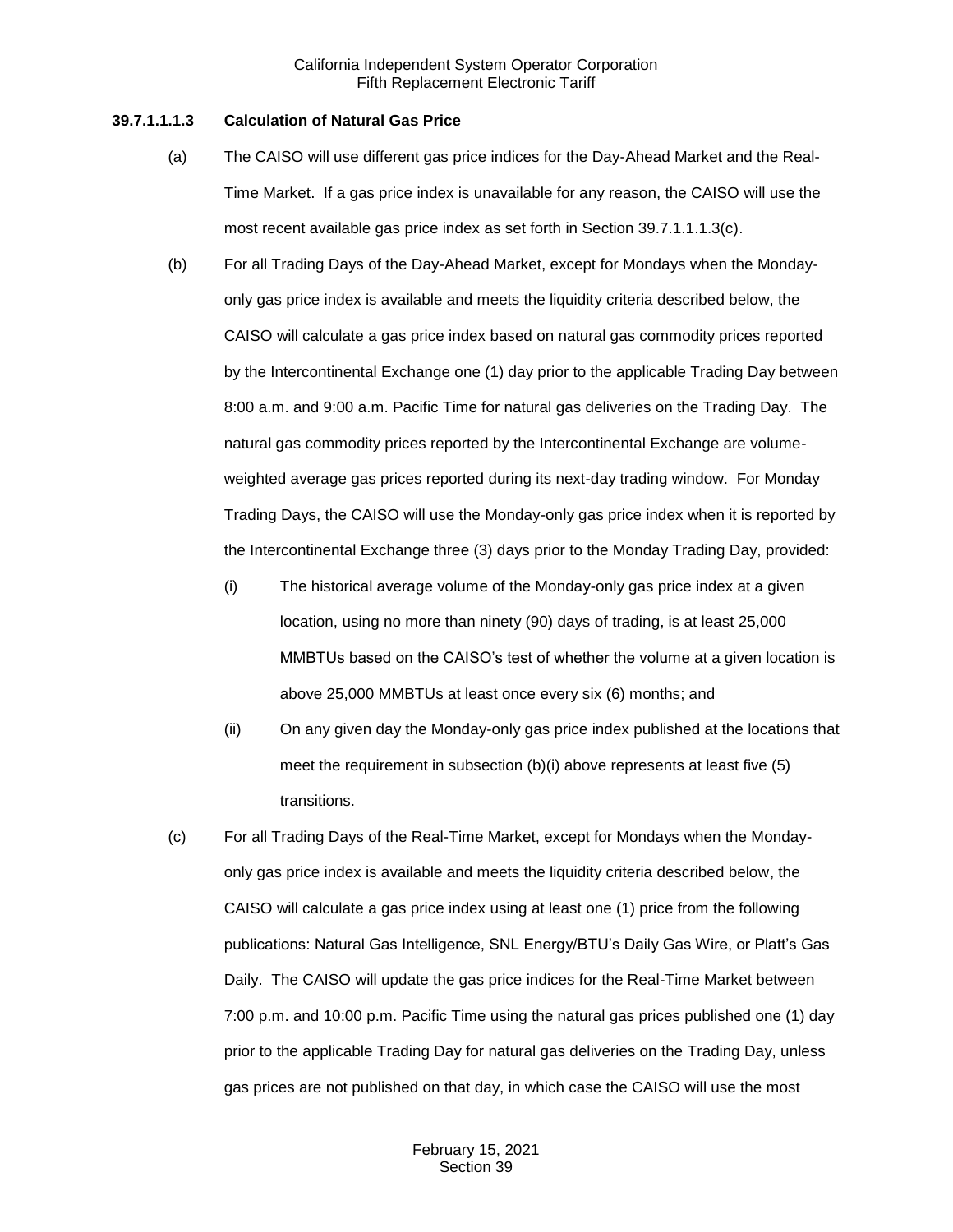#### **39.7.1.1.1.3 Calculation of Natural Gas Price**

- (a) The CAISO will use different gas price indices for the Day-Ahead Market and the Real-Time Market. If a gas price index is unavailable for any reason, the CAISO will use the most recent available gas price index as set forth in Section 39.7.1.1.1.3(c).
- (b) For all Trading Days of the Day-Ahead Market, except for Mondays when the Mondayonly gas price index is available and meets the liquidity criteria described below, the CAISO will calculate a gas price index based on natural gas commodity prices reported by the Intercontinental Exchange one (1) day prior to the applicable Trading Day between 8:00 a.m. and 9:00 a.m. Pacific Time for natural gas deliveries on the Trading Day. The natural gas commodity prices reported by the Intercontinental Exchange are volumeweighted average gas prices reported during its next-day trading window. For Monday Trading Days, the CAISO will use the Monday-only gas price index when it is reported by the Intercontinental Exchange three (3) days prior to the Monday Trading Day, provided:
	- (i) The historical average volume of the Monday-only gas price index at a given location, using no more than ninety (90) days of trading, is at least 25,000 MMBTUs based on the CAISO's test of whether the volume at a given location is above 25,000 MMBTUs at least once every six (6) months; and
	- (ii) On any given day the Monday-only gas price index published at the locations that meet the requirement in subsection (b)(i) above represents at least five (5) transitions.
- (c) For all Trading Days of the Real-Time Market, except for Mondays when the Mondayonly gas price index is available and meets the liquidity criteria described below, the CAISO will calculate a gas price index using at least one (1) price from the following publications: Natural Gas Intelligence, SNL Energy/BTU's Daily Gas Wire, or Platt's Gas Daily. The CAISO will update the gas price indices for the Real-Time Market between 7:00 p.m. and 10:00 p.m. Pacific Time using the natural gas prices published one (1) day prior to the applicable Trading Day for natural gas deliveries on the Trading Day, unless gas prices are not published on that day, in which case the CAISO will use the most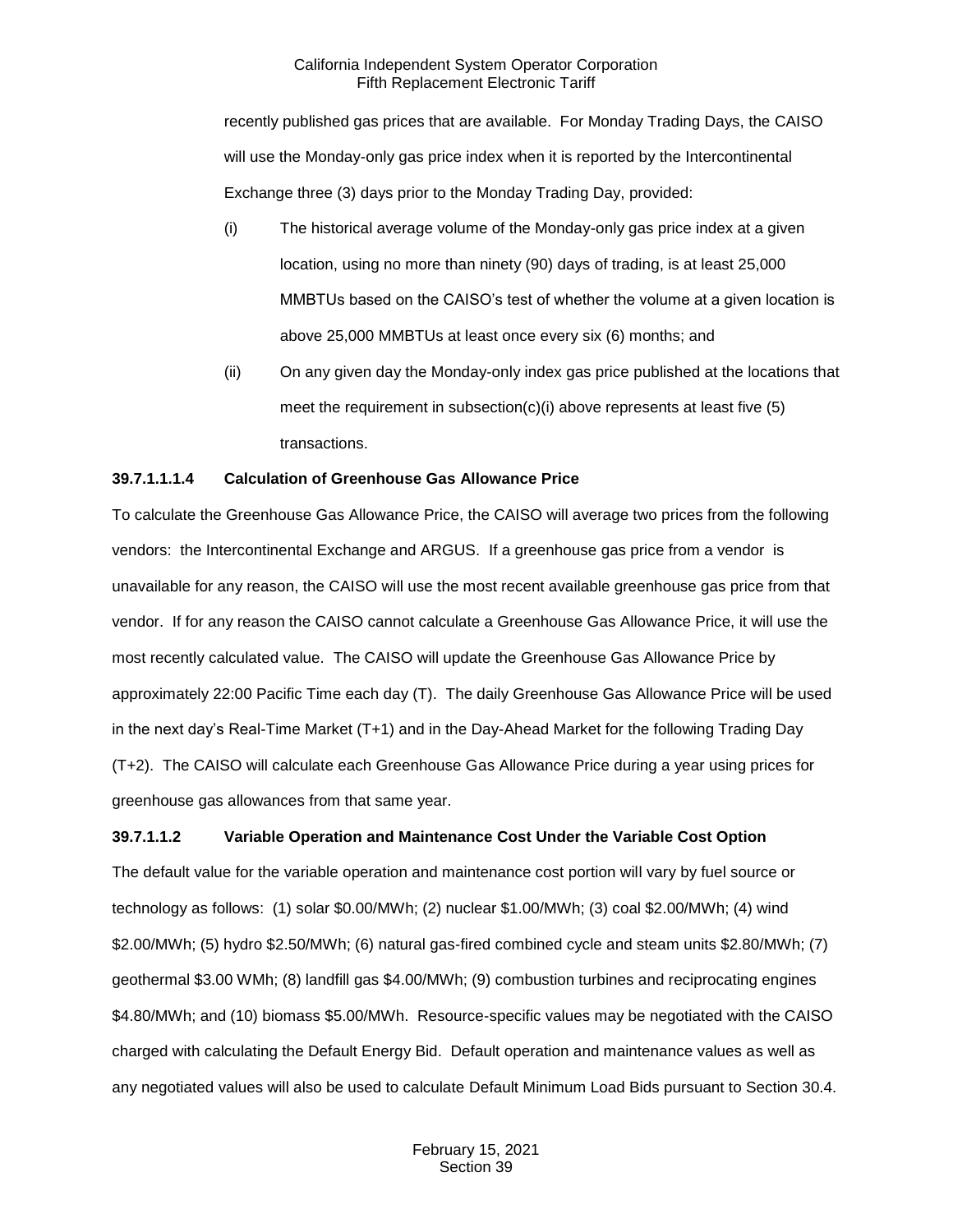recently published gas prices that are available. For Monday Trading Days, the CAISO will use the Monday-only gas price index when it is reported by the Intercontinental Exchange three (3) days prior to the Monday Trading Day, provided:

- (i) The historical average volume of the Monday-only gas price index at a given location, using no more than ninety (90) days of trading, is at least 25,000 MMBTUs based on the CAISO's test of whether the volume at a given location is above 25,000 MMBTUs at least once every six (6) months; and
- (ii) On any given day the Monday-only index gas price published at the locations that meet the requirement in subsection(c)(i) above represents at least five (5) transactions.

## **39.7.1.1.1.4 Calculation of Greenhouse Gas Allowance Price**

To calculate the Greenhouse Gas Allowance Price, the CAISO will average two prices from the following vendors: the Intercontinental Exchange and ARGUS. If a greenhouse gas price from a vendor is unavailable for any reason, the CAISO will use the most recent available greenhouse gas price from that vendor. If for any reason the CAISO cannot calculate a Greenhouse Gas Allowance Price, it will use the most recently calculated value. The CAISO will update the Greenhouse Gas Allowance Price by approximately 22:00 Pacific Time each day (T). The daily Greenhouse Gas Allowance Price will be used in the next day's Real-Time Market (T+1) and in the Day-Ahead Market for the following Trading Day (T+2). The CAISO will calculate each Greenhouse Gas Allowance Price during a year using prices for greenhouse gas allowances from that same year.

## **39.7.1.1.2 Variable Operation and Maintenance Cost Under the Variable Cost Option**

The default value for the variable operation and maintenance cost portion will vary by fuel source or technology as follows: (1) solar \$0.00/MWh; (2) nuclear \$1.00/MWh; (3) coal \$2.00/MWh; (4) wind \$2.00/MWh; (5) hydro \$2.50/MWh; (6) natural gas-fired combined cycle and steam units \$2.80/MWh; (7) geothermal \$3.00 WMh; (8) landfill gas \$4.00/MWh; (9) combustion turbines and reciprocating engines \$4.80/MWh; and (10) biomass \$5.00/MWh. Resource-specific values may be negotiated with the CAISO charged with calculating the Default Energy Bid. Default operation and maintenance values as well as any negotiated values will also be used to calculate Default Minimum Load Bids pursuant to Section 30.4.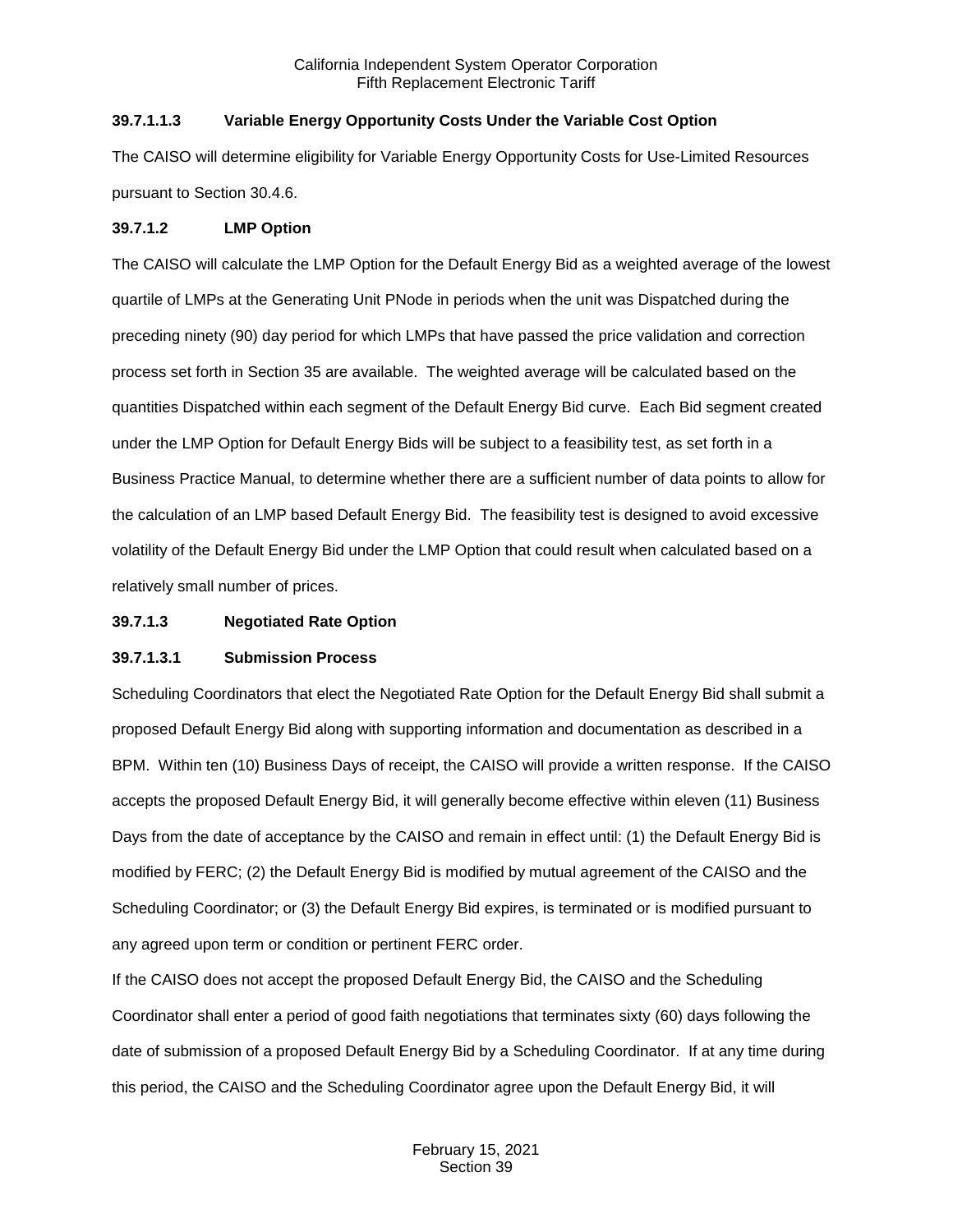## **39.7.1.1.3 Variable Energy Opportunity Costs Under the Variable Cost Option**

The CAISO will determine eligibility for Variable Energy Opportunity Costs for Use-Limited Resources pursuant to Section 30.4.6.

## **39.7.1.2 LMP Option**

The CAISO will calculate the LMP Option for the Default Energy Bid as a weighted average of the lowest quartile of LMPs at the Generating Unit PNode in periods when the unit was Dispatched during the preceding ninety (90) day period for which LMPs that have passed the price validation and correction process set forth in Section 35 are available. The weighted average will be calculated based on the quantities Dispatched within each segment of the Default Energy Bid curve. Each Bid segment created under the LMP Option for Default Energy Bids will be subject to a feasibility test, as set forth in a Business Practice Manual, to determine whether there are a sufficient number of data points to allow for the calculation of an LMP based Default Energy Bid. The feasibility test is designed to avoid excessive volatility of the Default Energy Bid under the LMP Option that could result when calculated based on a relatively small number of prices.

## **39.7.1.3 Negotiated Rate Option**

## **39.7.1.3.1 Submission Process**

Scheduling Coordinators that elect the Negotiated Rate Option for the Default Energy Bid shall submit a proposed Default Energy Bid along with supporting information and documentation as described in a BPM. Within ten (10) Business Days of receipt, the CAISO will provide a written response. If the CAISO accepts the proposed Default Energy Bid, it will generally become effective within eleven (11) Business Days from the date of acceptance by the CAISO and remain in effect until: (1) the Default Energy Bid is modified by FERC; (2) the Default Energy Bid is modified by mutual agreement of the CAISO and the Scheduling Coordinator; or (3) the Default Energy Bid expires, is terminated or is modified pursuant to any agreed upon term or condition or pertinent FERC order.

If the CAISO does not accept the proposed Default Energy Bid, the CAISO and the Scheduling Coordinator shall enter a period of good faith negotiations that terminates sixty (60) days following the date of submission of a proposed Default Energy Bid by a Scheduling Coordinator. If at any time during this period, the CAISO and the Scheduling Coordinator agree upon the Default Energy Bid, it will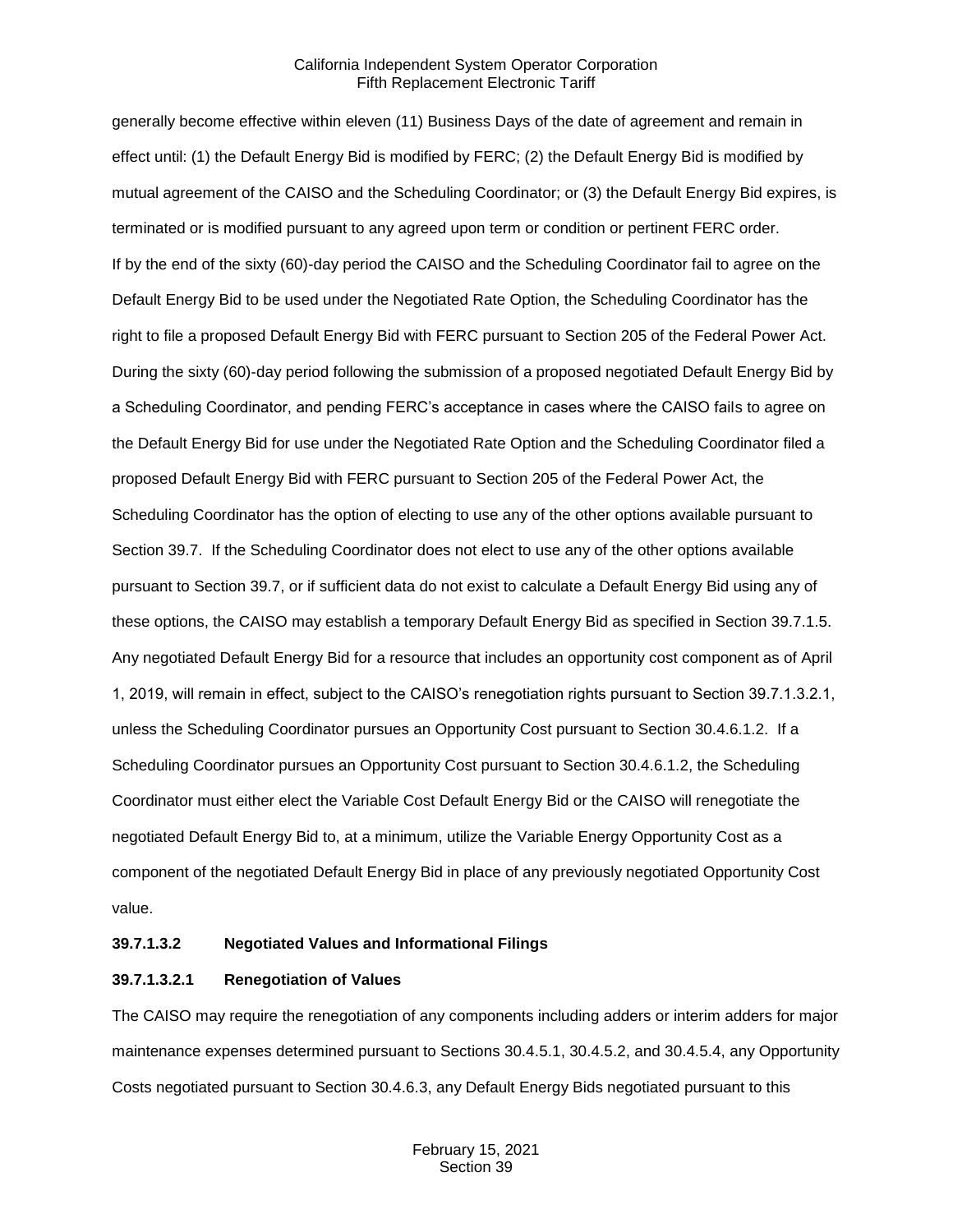generally become effective within eleven (11) Business Days of the date of agreement and remain in effect until: (1) the Default Energy Bid is modified by FERC; (2) the Default Energy Bid is modified by mutual agreement of the CAISO and the Scheduling Coordinator; or (3) the Default Energy Bid expires, is terminated or is modified pursuant to any agreed upon term or condition or pertinent FERC order. If by the end of the sixty (60)-day period the CAISO and the Scheduling Coordinator fail to agree on the Default Energy Bid to be used under the Negotiated Rate Option, the Scheduling Coordinator has the right to file a proposed Default Energy Bid with FERC pursuant to Section 205 of the Federal Power Act. During the sixty (60)-day period following the submission of a proposed negotiated Default Energy Bid by a Scheduling Coordinator, and pending FERC's acceptance in cases where the CAISO fails to agree on the Default Energy Bid for use under the Negotiated Rate Option and the Scheduling Coordinator filed a proposed Default Energy Bid with FERC pursuant to Section 205 of the Federal Power Act, the Scheduling Coordinator has the option of electing to use any of the other options available pursuant to Section 39.7. If the Scheduling Coordinator does not elect to use any of the other options available pursuant to Section 39.7, or if sufficient data do not exist to calculate a Default Energy Bid using any of these options, the CAISO may establish a temporary Default Energy Bid as specified in Section 39.7.1.5. Any negotiated Default Energy Bid for a resource that includes an opportunity cost component as of April 1, 2019, will remain in effect, subject to the CAISO's renegotiation rights pursuant to Section 39.7.1.3.2.1, unless the Scheduling Coordinator pursues an Opportunity Cost pursuant to Section 30.4.6.1.2. If a Scheduling Coordinator pursues an Opportunity Cost pursuant to Section 30.4.6.1.2, the Scheduling Coordinator must either elect the Variable Cost Default Energy Bid or the CAISO will renegotiate the negotiated Default Energy Bid to, at a minimum, utilize the Variable Energy Opportunity Cost as a component of the negotiated Default Energy Bid in place of any previously negotiated Opportunity Cost value.

#### **39.7.1.3.2 Negotiated Values and Informational Filings**

## **39.7.1.3.2.1 Renegotiation of Values**

The CAISO may require the renegotiation of any components including adders or interim adders for major maintenance expenses determined pursuant to Sections 30.4.5.1, 30.4.5.2, and 30.4.5.4, any Opportunity Costs negotiated pursuant to Section 30.4.6.3, any Default Energy Bids negotiated pursuant to this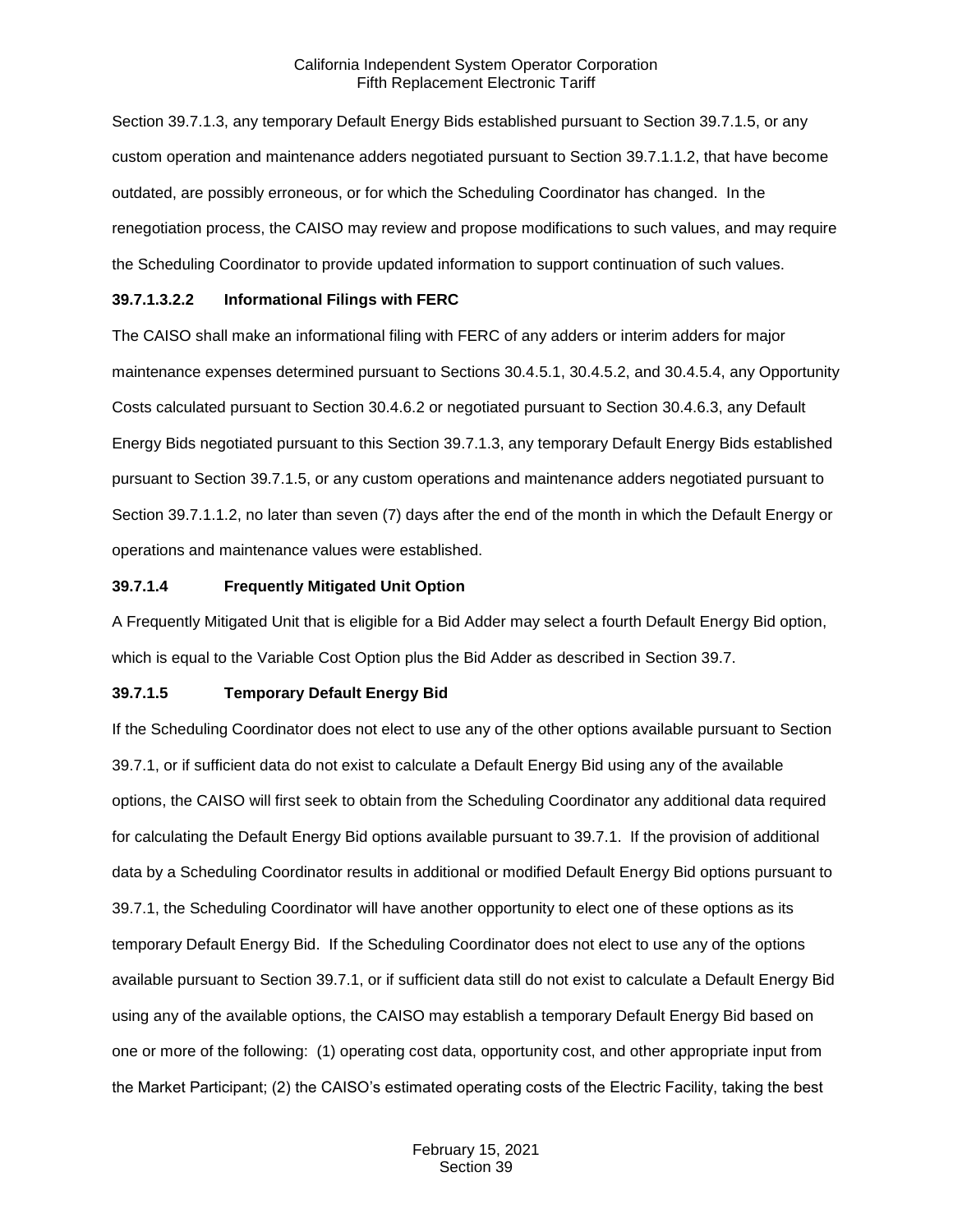Section 39.7.1.3, any temporary Default Energy Bids established pursuant to Section 39.7.1.5, or any custom operation and maintenance adders negotiated pursuant to Section 39.7.1.1.2, that have become outdated, are possibly erroneous, or for which the Scheduling Coordinator has changed. In the renegotiation process, the CAISO may review and propose modifications to such values, and may require the Scheduling Coordinator to provide updated information to support continuation of such values.

## **39.7.1.3.2.2 Informational Filings with FERC**

The CAISO shall make an informational filing with FERC of any adders or interim adders for major maintenance expenses determined pursuant to Sections 30.4.5.1, 30.4.5.2, and 30.4.5.4, any Opportunity Costs calculated pursuant to Section 30.4.6.2 or negotiated pursuant to Section 30.4.6.3, any Default Energy Bids negotiated pursuant to this Section 39.7.1.3, any temporary Default Energy Bids established pursuant to Section 39.7.1.5, or any custom operations and maintenance adders negotiated pursuant to Section 39.7.1.1.2, no later than seven (7) days after the end of the month in which the Default Energy or operations and maintenance values were established.

#### **39.7.1.4 Frequently Mitigated Unit Option**

A Frequently Mitigated Unit that is eligible for a Bid Adder may select a fourth Default Energy Bid option, which is equal to the Variable Cost Option plus the Bid Adder as described in Section 39.7.

## **39.7.1.5 Temporary Default Energy Bid**

If the Scheduling Coordinator does not elect to use any of the other options available pursuant to Section 39.7.1, or if sufficient data do not exist to calculate a Default Energy Bid using any of the available options, the CAISO will first seek to obtain from the Scheduling Coordinator any additional data required for calculating the Default Energy Bid options available pursuant to 39.7.1. If the provision of additional data by a Scheduling Coordinator results in additional or modified Default Energy Bid options pursuant to 39.7.1, the Scheduling Coordinator will have another opportunity to elect one of these options as its temporary Default Energy Bid. If the Scheduling Coordinator does not elect to use any of the options available pursuant to Section 39.7.1, or if sufficient data still do not exist to calculate a Default Energy Bid using any of the available options, the CAISO may establish a temporary Default Energy Bid based on one or more of the following: (1) operating cost data, opportunity cost, and other appropriate input from the Market Participant; (2) the CAISO's estimated operating costs of the Electric Facility, taking the best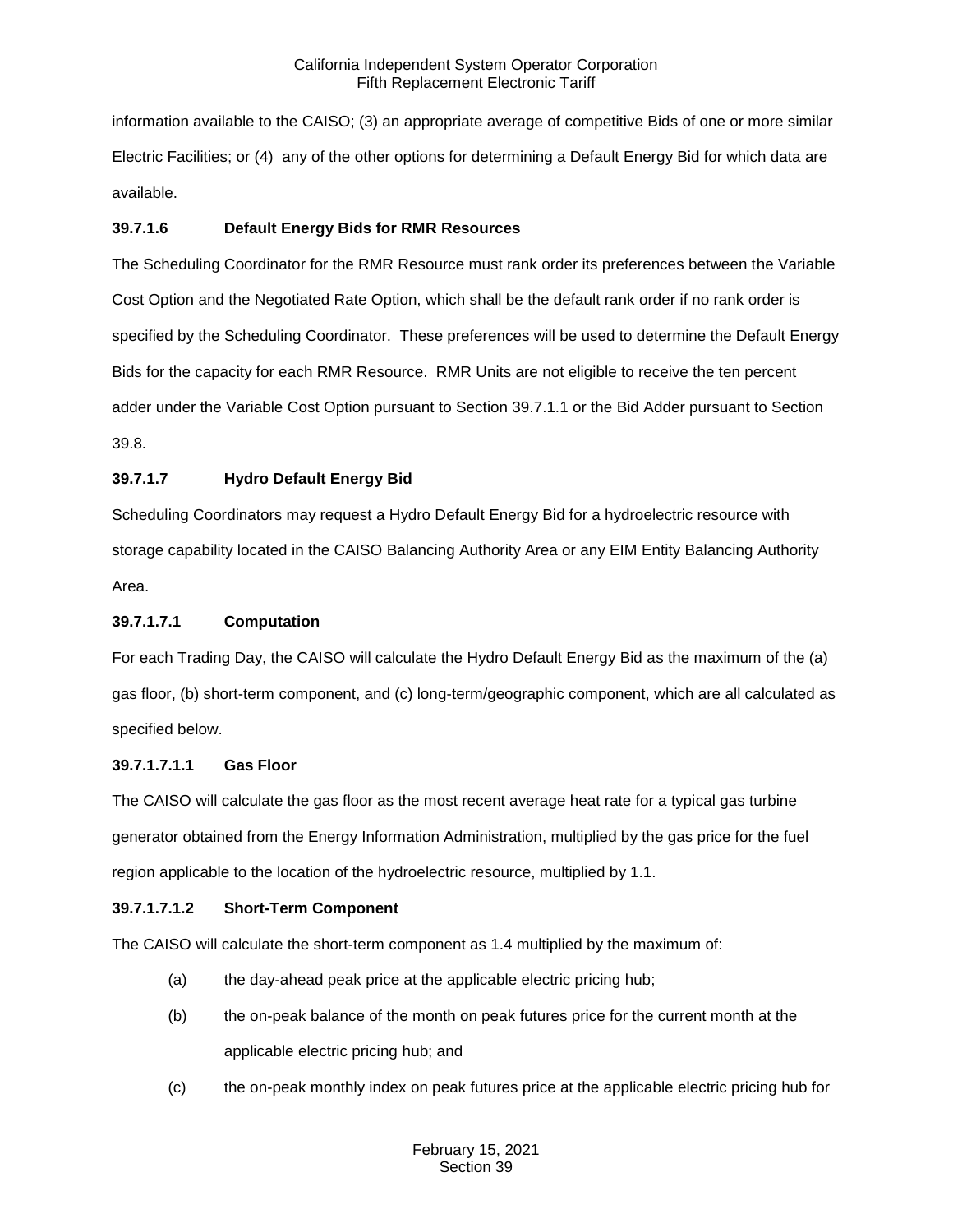information available to the CAISO; (3) an appropriate average of competitive Bids of one or more similar Electric Facilities; or (4) any of the other options for determining a Default Energy Bid for which data are available.

## **39.7.1.6 Default Energy Bids for RMR Resources**

The Scheduling Coordinator for the RMR Resource must rank order its preferences between the Variable Cost Option and the Negotiated Rate Option, which shall be the default rank order if no rank order is specified by the Scheduling Coordinator. These preferences will be used to determine the Default Energy Bids for the capacity for each RMR Resource. RMR Units are not eligible to receive the ten percent adder under the Variable Cost Option pursuant to Section 39.7.1.1 or the Bid Adder pursuant to Section 39.8.

# **39.7.1.7 Hydro Default Energy Bid**

Scheduling Coordinators may request a Hydro Default Energy Bid for a hydroelectric resource with storage capability located in the CAISO Balancing Authority Area or any EIM Entity Balancing Authority Area.

## **39.7.1.7.1 Computation**

For each Trading Day, the CAISO will calculate the Hydro Default Energy Bid as the maximum of the (a) gas floor, (b) short-term component, and (c) long-term/geographic component, which are all calculated as specified below.

## **39.7.1.7.1.1 Gas Floor**

The CAISO will calculate the gas floor as the most recent average heat rate for a typical gas turbine generator obtained from the Energy Information Administration, multiplied by the gas price for the fuel region applicable to the location of the hydroelectric resource, multiplied by 1.1.

## **39.7.1.7.1.2 Short-Term Component**

The CAISO will calculate the short-term component as 1.4 multiplied by the maximum of:

- (a) the day-ahead peak price at the applicable electric pricing hub;
- (b) the on-peak balance of the month on peak futures price for the current month at the applicable electric pricing hub; and
- (c) the on-peak monthly index on peak futures price at the applicable electric pricing hub for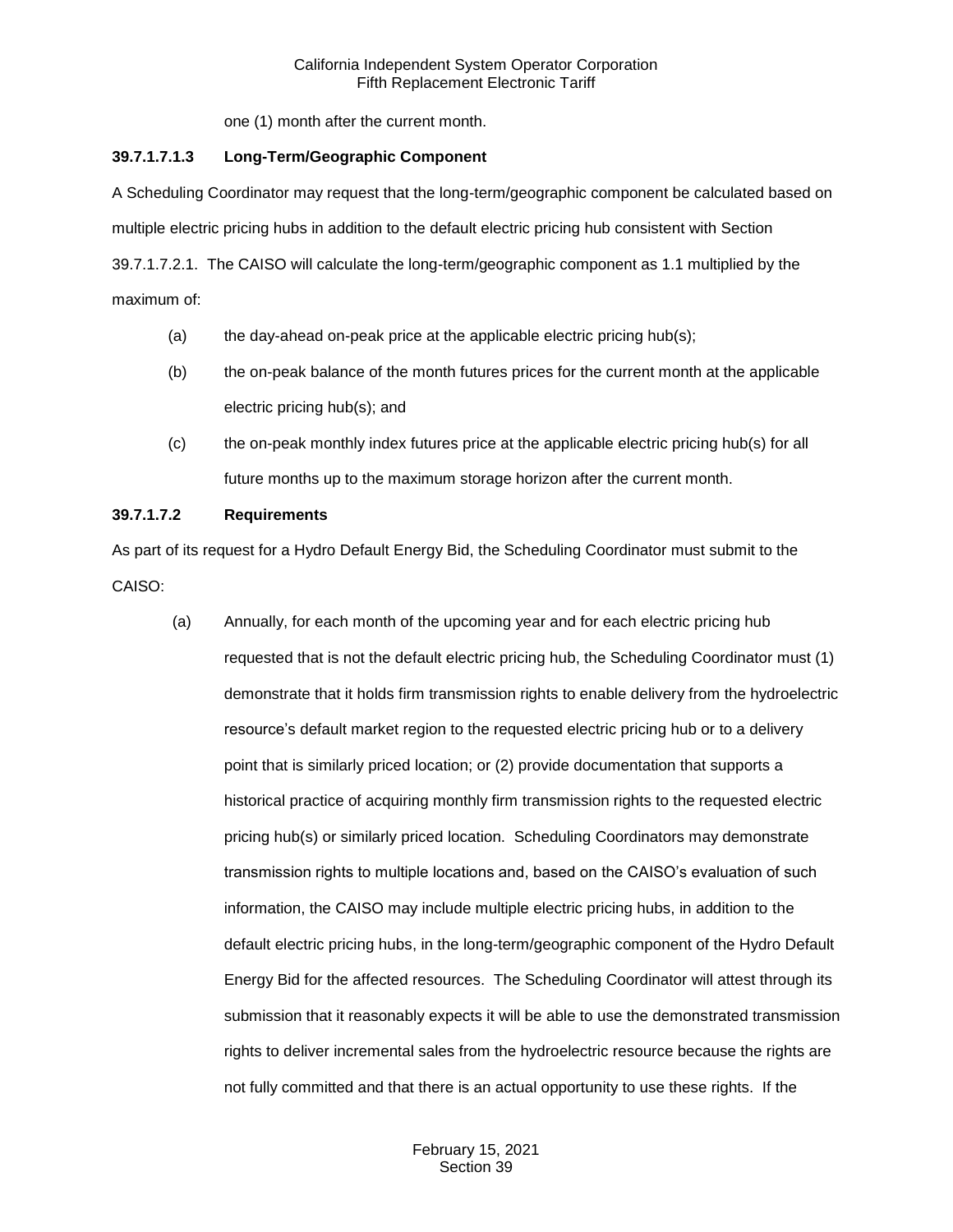one (1) month after the current month.

# **39.7.1.7.1.3 Long-Term/Geographic Component**

A Scheduling Coordinator may request that the long-term/geographic component be calculated based on multiple electric pricing hubs in addition to the default electric pricing hub consistent with Section 39.7.1.7.2.1. The CAISO will calculate the long-term/geographic component as 1.1 multiplied by the maximum of:

- (a) the day-ahead on-peak price at the applicable electric pricing hub(s);
- (b) the on-peak balance of the month futures prices for the current month at the applicable electric pricing hub(s); and
- (c) the on-peak monthly index futures price at the applicable electric pricing hub(s) for all future months up to the maximum storage horizon after the current month.

# **39.7.1.7.2 Requirements**

As part of its request for a Hydro Default Energy Bid, the Scheduling Coordinator must submit to the CAISO:

(a) Annually, for each month of the upcoming year and for each electric pricing hub requested that is not the default electric pricing hub, the Scheduling Coordinator must (1) demonstrate that it holds firm transmission rights to enable delivery from the hydroelectric resource's default market region to the requested electric pricing hub or to a delivery point that is similarly priced location; or (2) provide documentation that supports a historical practice of acquiring monthly firm transmission rights to the requested electric pricing hub(s) or similarly priced location. Scheduling Coordinators may demonstrate transmission rights to multiple locations and, based on the CAISO's evaluation of such information, the CAISO may include multiple electric pricing hubs, in addition to the default electric pricing hubs, in the long-term/geographic component of the Hydro Default Energy Bid for the affected resources. The Scheduling Coordinator will attest through its submission that it reasonably expects it will be able to use the demonstrated transmission rights to deliver incremental sales from the hydroelectric resource because the rights are not fully committed and that there is an actual opportunity to use these rights. If the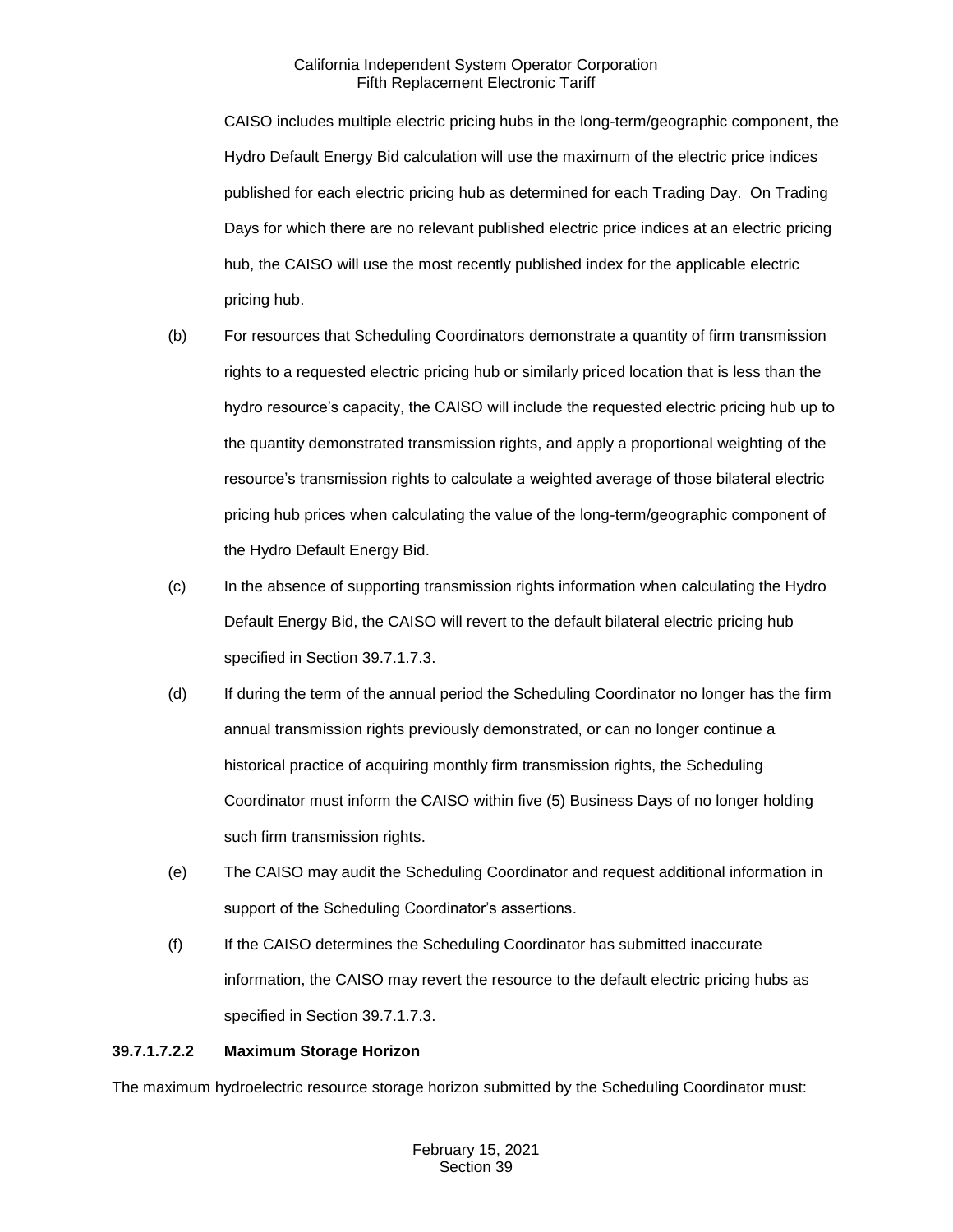CAISO includes multiple electric pricing hubs in the long-term/geographic component, the Hydro Default Energy Bid calculation will use the maximum of the electric price indices published for each electric pricing hub as determined for each Trading Day. On Trading Days for which there are no relevant published electric price indices at an electric pricing hub, the CAISO will use the most recently published index for the applicable electric pricing hub.

- (b) For resources that Scheduling Coordinators demonstrate a quantity of firm transmission rights to a requested electric pricing hub or similarly priced location that is less than the hydro resource's capacity, the CAISO will include the requested electric pricing hub up to the quantity demonstrated transmission rights, and apply a proportional weighting of the resource's transmission rights to calculate a weighted average of those bilateral electric pricing hub prices when calculating the value of the long-term/geographic component of the Hydro Default Energy Bid.
- (c) In the absence of supporting transmission rights information when calculating the Hydro Default Energy Bid, the CAISO will revert to the default bilateral electric pricing hub specified in Section 39.7.1.7.3.
- (d) If during the term of the annual period the Scheduling Coordinator no longer has the firm annual transmission rights previously demonstrated, or can no longer continue a historical practice of acquiring monthly firm transmission rights, the Scheduling Coordinator must inform the CAISO within five (5) Business Days of no longer holding such firm transmission rights.
- (e) The CAISO may audit the Scheduling Coordinator and request additional information in support of the Scheduling Coordinator's assertions.
- (f) If the CAISO determines the Scheduling Coordinator has submitted inaccurate information, the CAISO may revert the resource to the default electric pricing hubs as specified in Section 39.7.1.7.3.

## **39.7.1.7.2.2 Maximum Storage Horizon**

The maximum hydroelectric resource storage horizon submitted by the Scheduling Coordinator must: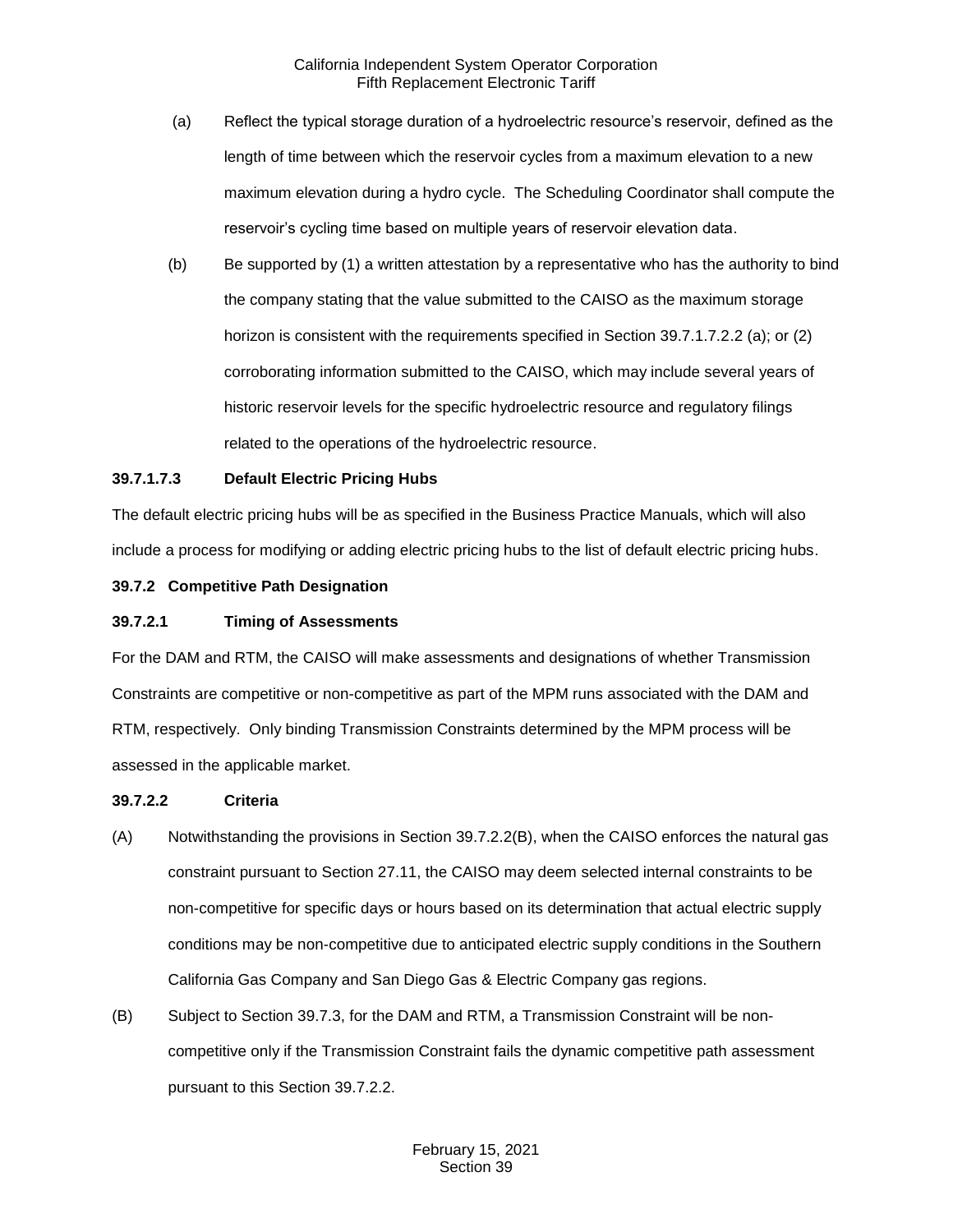- (a) Reflect the typical storage duration of a hydroelectric resource's reservoir, defined as the length of time between which the reservoir cycles from a maximum elevation to a new maximum elevation during a hydro cycle. The Scheduling Coordinator shall compute the reservoir's cycling time based on multiple years of reservoir elevation data.
- (b) Be supported by (1) a written attestation by a representative who has the authority to bind the company stating that the value submitted to the CAISO as the maximum storage horizon is consistent with the requirements specified in Section 39.7.1.7.2.2 (a); or (2) corroborating information submitted to the CAISO, which may include several years of historic reservoir levels for the specific hydroelectric resource and regulatory filings related to the operations of the hydroelectric resource.

## **39.7.1.7.3 Default Electric Pricing Hubs**

The default electric pricing hubs will be as specified in the Business Practice Manuals, which will also include a process for modifying or adding electric pricing hubs to the list of default electric pricing hubs.

#### <span id="page-18-0"></span>**39.7.2 Competitive Path Designation**

#### **39.7.2.1 Timing of Assessments**

For the DAM and RTM, the CAISO will make assessments and designations of whether Transmission Constraints are competitive or non-competitive as part of the MPM runs associated with the DAM and RTM, respectively. Only binding Transmission Constraints determined by the MPM process will be assessed in the applicable market.

#### **39.7.2.2 Criteria**

- (A) Notwithstanding the provisions in Section 39.7.2.2(B), when the CAISO enforces the natural gas constraint pursuant to Section 27.11, the CAISO may deem selected internal constraints to be non-competitive for specific days or hours based on its determination that actual electric supply conditions may be non-competitive due to anticipated electric supply conditions in the Southern California Gas Company and San Diego Gas & Electric Company gas regions.
- (B) Subject to Section 39.7.3, for the DAM and RTM, a Transmission Constraint will be noncompetitive only if the Transmission Constraint fails the dynamic competitive path assessment pursuant to this Section 39.7.2.2.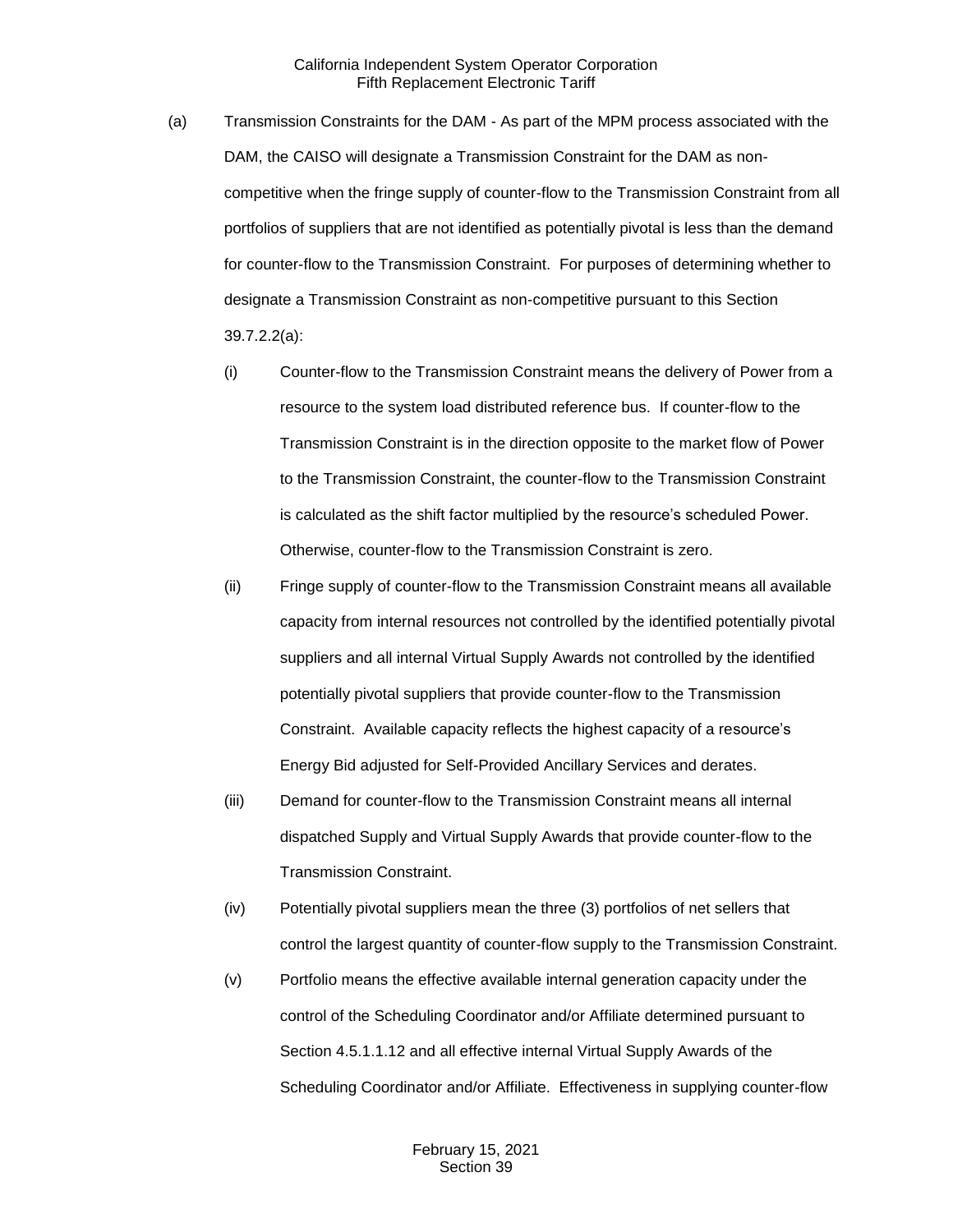- (a) Transmission Constraints for the DAM As part of the MPM process associated with the DAM, the CAISO will designate a Transmission Constraint for the DAM as noncompetitive when the fringe supply of counter-flow to the Transmission Constraint from all portfolios of suppliers that are not identified as potentially pivotal is less than the demand for counter-flow to the Transmission Constraint. For purposes of determining whether to designate a Transmission Constraint as non-competitive pursuant to this Section 39.7.2.2(a):
	- (i) Counter-flow to the Transmission Constraint means the delivery of Power from a resource to the system load distributed reference bus. If counter-flow to the Transmission Constraint is in the direction opposite to the market flow of Power to the Transmission Constraint, the counter-flow to the Transmission Constraint is calculated as the shift factor multiplied by the resource's scheduled Power. Otherwise, counter-flow to the Transmission Constraint is zero.
	- (ii) Fringe supply of counter-flow to the Transmission Constraint means all available capacity from internal resources not controlled by the identified potentially pivotal suppliers and all internal Virtual Supply Awards not controlled by the identified potentially pivotal suppliers that provide counter-flow to the Transmission Constraint. Available capacity reflects the highest capacity of a resource's Energy Bid adjusted for Self-Provided Ancillary Services and derates.
	- (iii) Demand for counter-flow to the Transmission Constraint means all internal dispatched Supply and Virtual Supply Awards that provide counter-flow to the Transmission Constraint.
	- (iv) Potentially pivotal suppliers mean the three (3) portfolios of net sellers that control the largest quantity of counter-flow supply to the Transmission Constraint.
	- (v) Portfolio means the effective available internal generation capacity under the control of the Scheduling Coordinator and/or Affiliate determined pursuant to Section 4.5.1.1.12 and all effective internal Virtual Supply Awards of the Scheduling Coordinator and/or Affiliate. Effectiveness in supplying counter-flow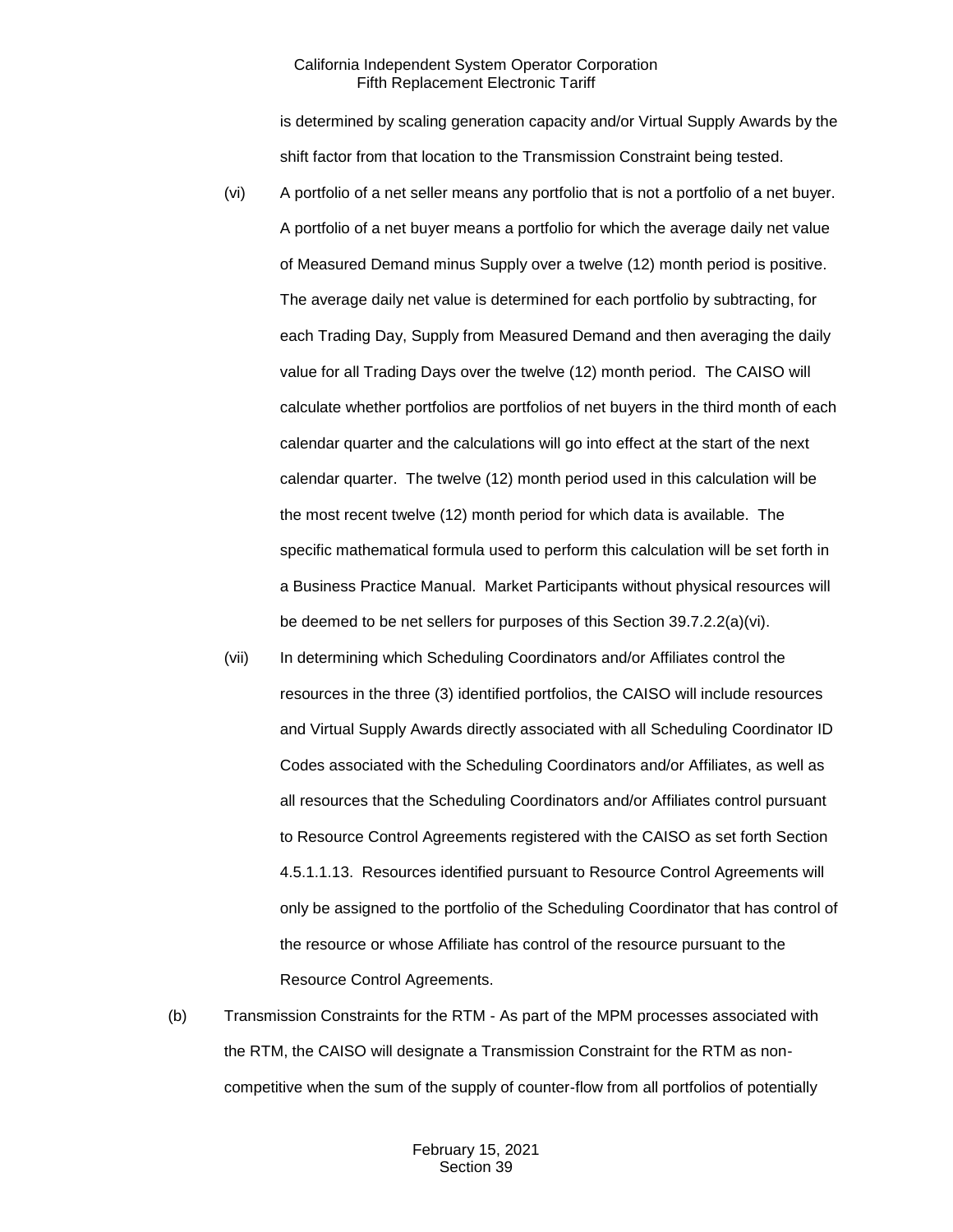is determined by scaling generation capacity and/or Virtual Supply Awards by the shift factor from that location to the Transmission Constraint being tested.

- (vi) A portfolio of a net seller means any portfolio that is not a portfolio of a net buyer. A portfolio of a net buyer means a portfolio for which the average daily net value of Measured Demand minus Supply over a twelve (12) month period is positive. The average daily net value is determined for each portfolio by subtracting, for each Trading Day, Supply from Measured Demand and then averaging the daily value for all Trading Days over the twelve (12) month period. The CAISO will calculate whether portfolios are portfolios of net buyers in the third month of each calendar quarter and the calculations will go into effect at the start of the next calendar quarter. The twelve (12) month period used in this calculation will be the most recent twelve (12) month period for which data is available. The specific mathematical formula used to perform this calculation will be set forth in a Business Practice Manual. Market Participants without physical resources will be deemed to be net sellers for purposes of this Section 39.7.2.2(a)(vi).
- (vii) In determining which Scheduling Coordinators and/or Affiliates control the resources in the three (3) identified portfolios, the CAISO will include resources and Virtual Supply Awards directly associated with all Scheduling Coordinator ID Codes associated with the Scheduling Coordinators and/or Affiliates, as well as all resources that the Scheduling Coordinators and/or Affiliates control pursuant to Resource Control Agreements registered with the CAISO as set forth Section 4.5.1.1.13. Resources identified pursuant to Resource Control Agreements will only be assigned to the portfolio of the Scheduling Coordinator that has control of the resource or whose Affiliate has control of the resource pursuant to the Resource Control Agreements.
- (b) Transmission Constraints for the RTM As part of the MPM processes associated with the RTM, the CAISO will designate a Transmission Constraint for the RTM as noncompetitive when the sum of the supply of counter-flow from all portfolios of potentially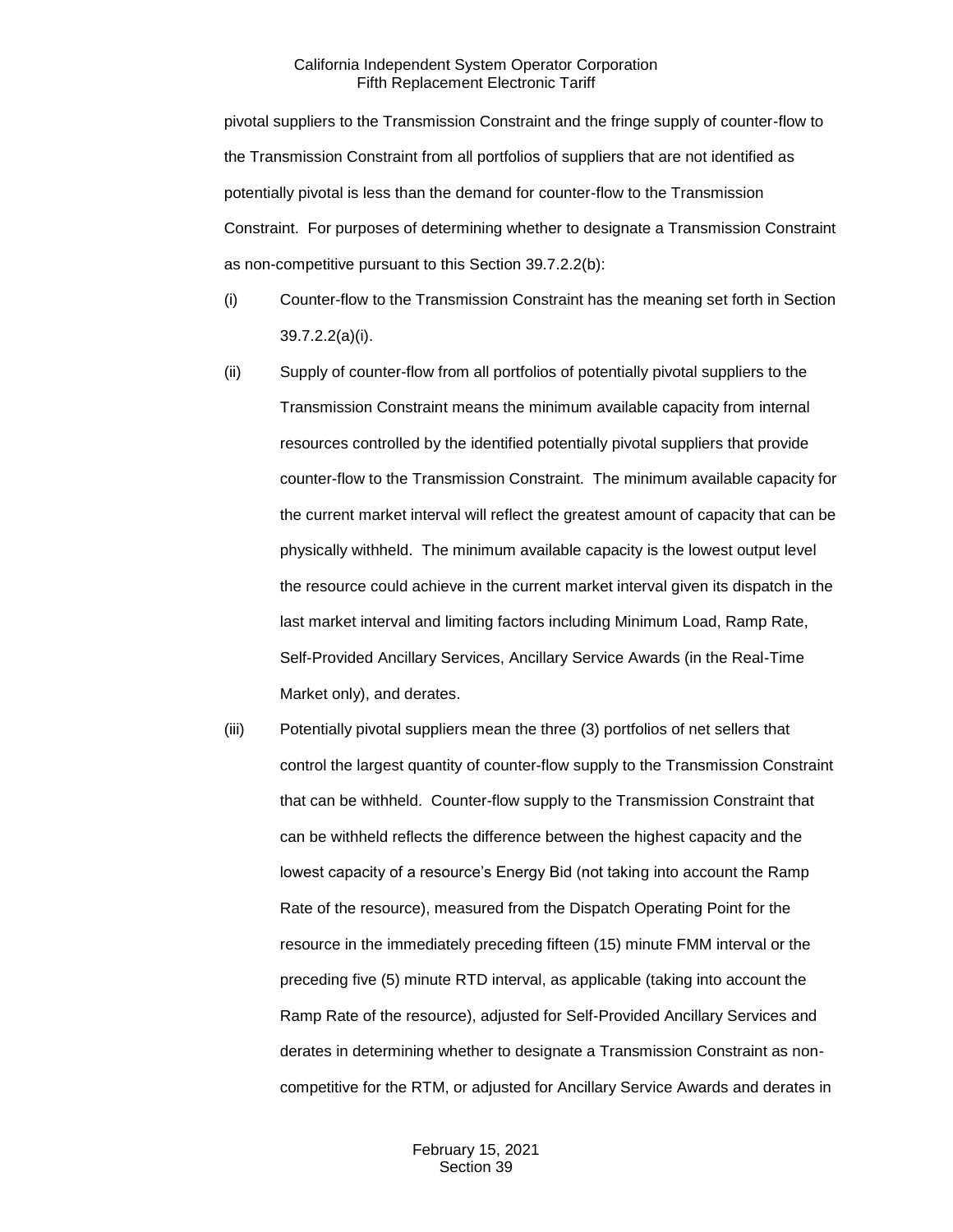pivotal suppliers to the Transmission Constraint and the fringe supply of counter-flow to the Transmission Constraint from all portfolios of suppliers that are not identified as potentially pivotal is less than the demand for counter-flow to the Transmission Constraint. For purposes of determining whether to designate a Transmission Constraint as non-competitive pursuant to this Section 39.7.2.2(b):

- (i) Counter-flow to the Transmission Constraint has the meaning set forth in Section 39.7.2.2(a)(i).
- (ii) Supply of counter-flow from all portfolios of potentially pivotal suppliers to the Transmission Constraint means the minimum available capacity from internal resources controlled by the identified potentially pivotal suppliers that provide counter-flow to the Transmission Constraint. The minimum available capacity for the current market interval will reflect the greatest amount of capacity that can be physically withheld. The minimum available capacity is the lowest output level the resource could achieve in the current market interval given its dispatch in the last market interval and limiting factors including Minimum Load, Ramp Rate, Self-Provided Ancillary Services, Ancillary Service Awards (in the Real-Time Market only), and derates.
- (iii) Potentially pivotal suppliers mean the three (3) portfolios of net sellers that control the largest quantity of counter-flow supply to the Transmission Constraint that can be withheld. Counter-flow supply to the Transmission Constraint that can be withheld reflects the difference between the highest capacity and the lowest capacity of a resource's Energy Bid (not taking into account the Ramp Rate of the resource), measured from the Dispatch Operating Point for the resource in the immediately preceding fifteen (15) minute FMM interval or the preceding five (5) minute RTD interval, as applicable (taking into account the Ramp Rate of the resource), adjusted for Self-Provided Ancillary Services and derates in determining whether to designate a Transmission Constraint as noncompetitive for the RTM, or adjusted for Ancillary Service Awards and derates in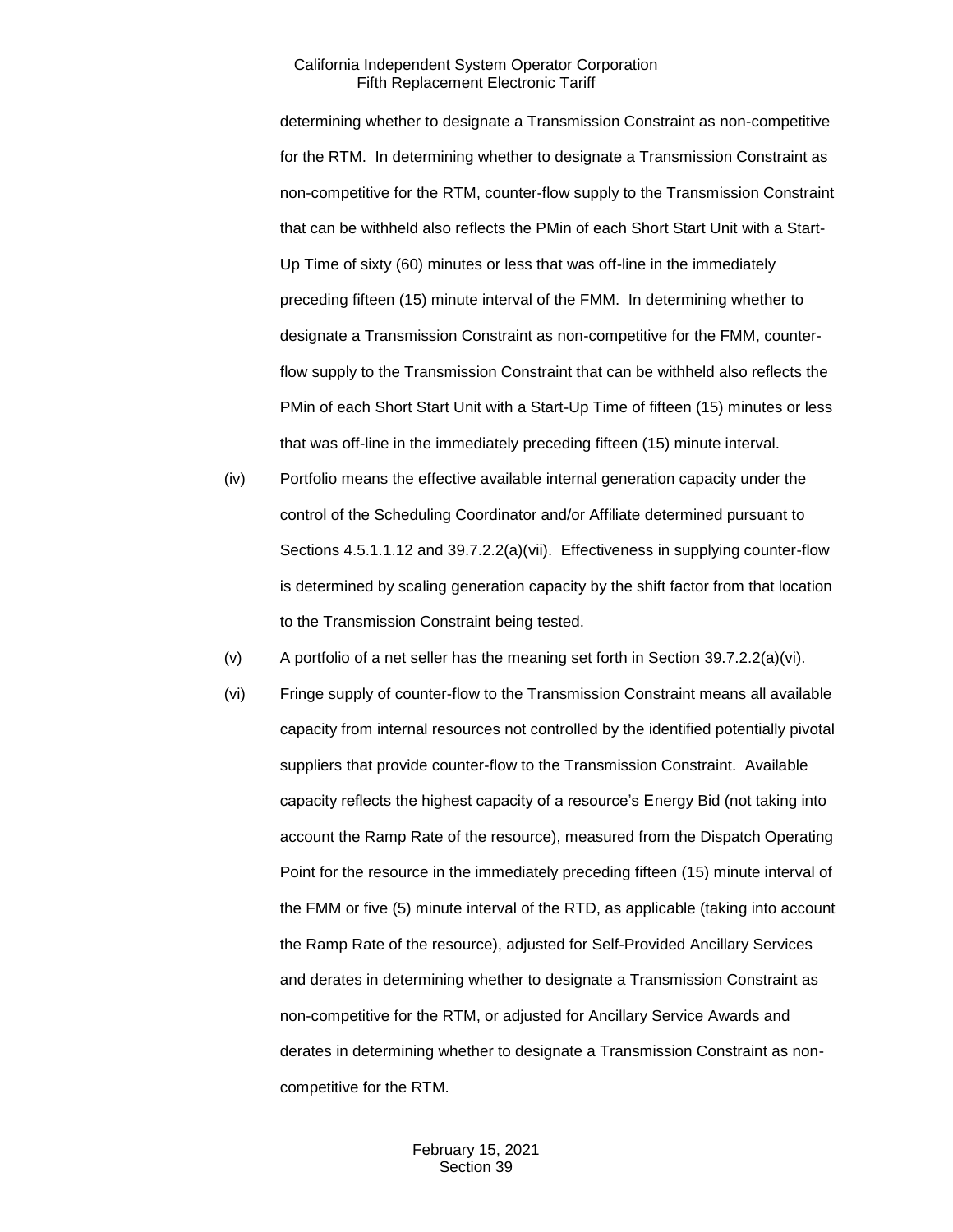determining whether to designate a Transmission Constraint as non-competitive for the RTM. In determining whether to designate a Transmission Constraint as non-competitive for the RTM, counter-flow supply to the Transmission Constraint that can be withheld also reflects the PMin of each Short Start Unit with a Start-Up Time of sixty (60) minutes or less that was off-line in the immediately preceding fifteen (15) minute interval of the FMM. In determining whether to designate a Transmission Constraint as non-competitive for the FMM, counterflow supply to the Transmission Constraint that can be withheld also reflects the PMin of each Short Start Unit with a Start-Up Time of fifteen (15) minutes or less that was off-line in the immediately preceding fifteen (15) minute interval.

- (iv) Portfolio means the effective available internal generation capacity under the control of the Scheduling Coordinator and/or Affiliate determined pursuant to Sections 4.5.1.1.12 and 39.7.2.2(a)(vii). Effectiveness in supplying counter-flow is determined by scaling generation capacity by the shift factor from that location to the Transmission Constraint being tested.
- (v) A portfolio of a net seller has the meaning set forth in Section 39.7.2.2(a)(vi).
- (vi) Fringe supply of counter-flow to the Transmission Constraint means all available capacity from internal resources not controlled by the identified potentially pivotal suppliers that provide counter-flow to the Transmission Constraint. Available capacity reflects the highest capacity of a resource's Energy Bid (not taking into account the Ramp Rate of the resource), measured from the Dispatch Operating Point for the resource in the immediately preceding fifteen (15) minute interval of the FMM or five (5) minute interval of the RTD, as applicable (taking into account the Ramp Rate of the resource), adjusted for Self-Provided Ancillary Services and derates in determining whether to designate a Transmission Constraint as non-competitive for the RTM, or adjusted for Ancillary Service Awards and derates in determining whether to designate a Transmission Constraint as noncompetitive for the RTM.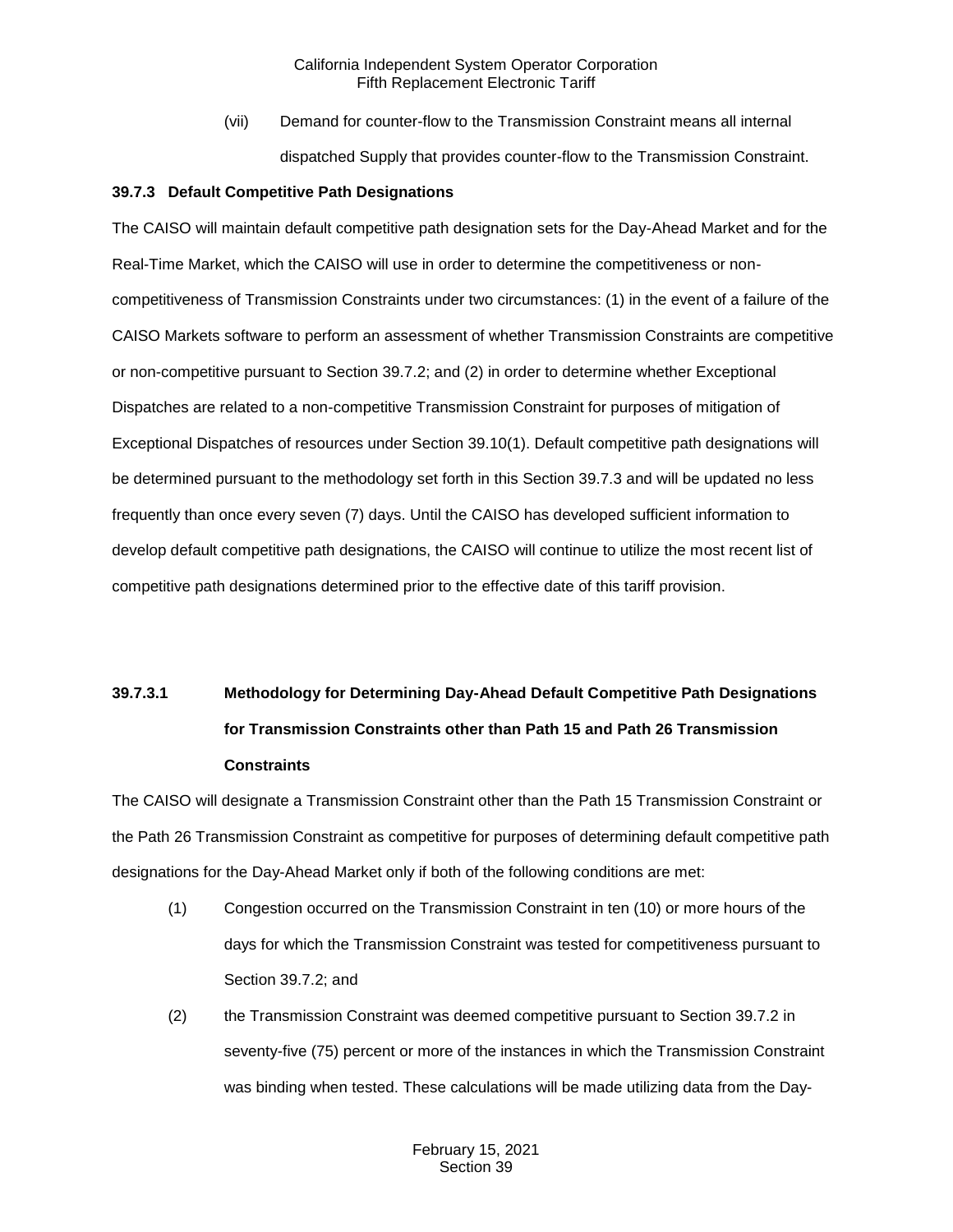(vii) Demand for counter-flow to the Transmission Constraint means all internal dispatched Supply that provides counter-flow to the Transmission Constraint.

#### <span id="page-23-0"></span>**39.7.3 Default Competitive Path Designations**

The CAISO will maintain default competitive path designation sets for the Day-Ahead Market and for the Real-Time Market, which the CAISO will use in order to determine the competitiveness or noncompetitiveness of Transmission Constraints under two circumstances: (1) in the event of a failure of the CAISO Markets software to perform an assessment of whether Transmission Constraints are competitive or non-competitive pursuant to Section 39.7.2; and (2) in order to determine whether Exceptional Dispatches are related to a non-competitive Transmission Constraint for purposes of mitigation of Exceptional Dispatches of resources under Section 39.10(1). Default competitive path designations will be determined pursuant to the methodology set forth in this Section 39.7.3 and will be updated no less frequently than once every seven (7) days. Until the CAISO has developed sufficient information to develop default competitive path designations, the CAISO will continue to utilize the most recent list of competitive path designations determined prior to the effective date of this tariff provision.

# **39.7.3.1 Methodology for Determining Day-Ahead Default Competitive Path Designations for Transmission Constraints other than Path 15 and Path 26 Transmission Constraints**

The CAISO will designate a Transmission Constraint other than the Path 15 Transmission Constraint or the Path 26 Transmission Constraint as competitive for purposes of determining default competitive path designations for the Day-Ahead Market only if both of the following conditions are met:

- (1) Congestion occurred on the Transmission Constraint in ten (10) or more hours of the days for which the Transmission Constraint was tested for competitiveness pursuant to Section 39.7.2; and
- (2) the Transmission Constraint was deemed competitive pursuant to Section 39.7.2 in seventy-five (75) percent or more of the instances in which the Transmission Constraint was binding when tested. These calculations will be made utilizing data from the Day-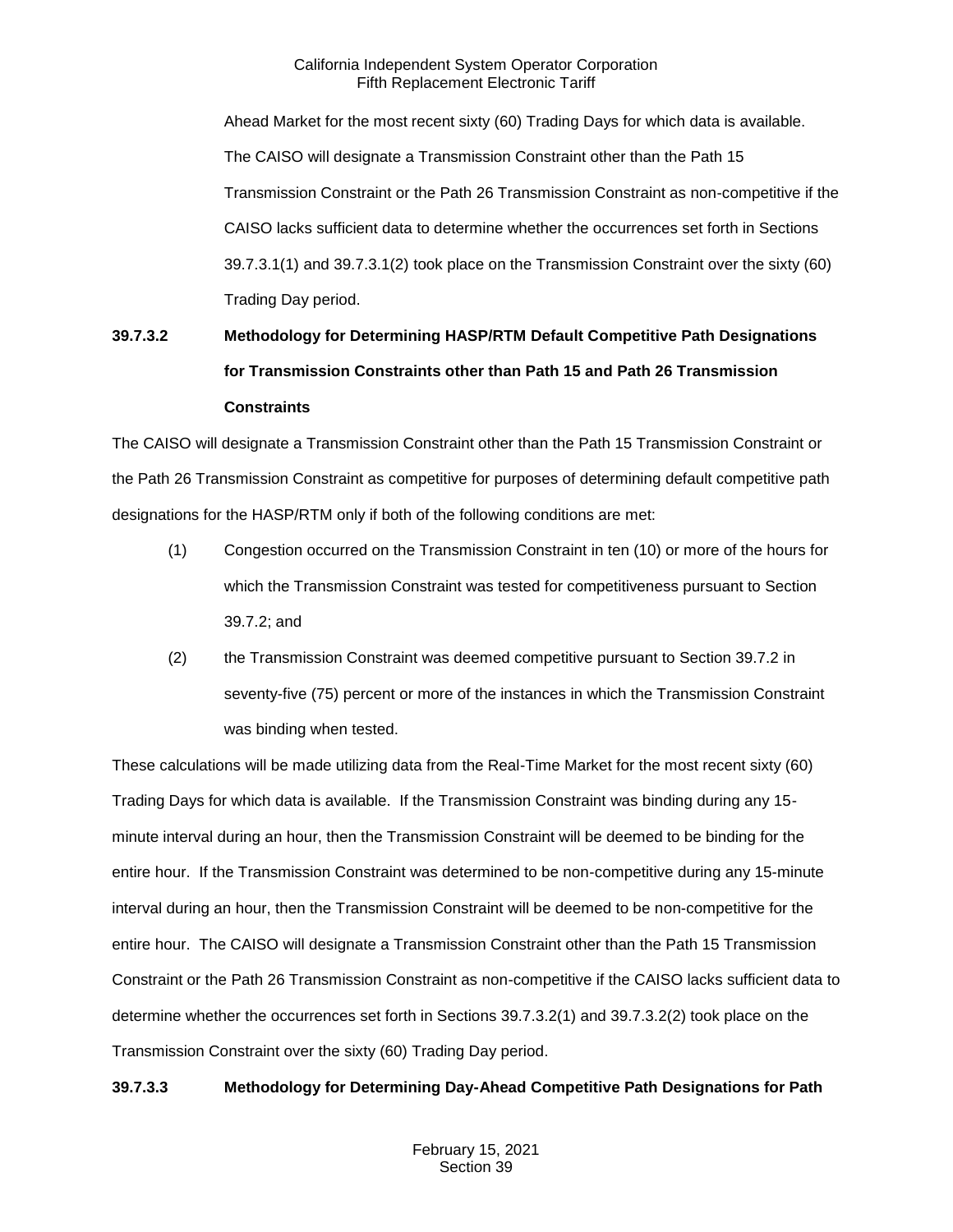Ahead Market for the most recent sixty (60) Trading Days for which data is available. The CAISO will designate a Transmission Constraint other than the Path 15 Transmission Constraint or the Path 26 Transmission Constraint as non-competitive if the CAISO lacks sufficient data to determine whether the occurrences set forth in Sections 39.7.3.1(1) and 39.7.3.1(2) took place on the Transmission Constraint over the sixty (60) Trading Day period.

# **39.7.3.2 Methodology for Determining HASP/RTM Default Competitive Path Designations for Transmission Constraints other than Path 15 and Path 26 Transmission Constraints**

The CAISO will designate a Transmission Constraint other than the Path 15 Transmission Constraint or the Path 26 Transmission Constraint as competitive for purposes of determining default competitive path designations for the HASP/RTM only if both of the following conditions are met:

- (1) Congestion occurred on the Transmission Constraint in ten (10) or more of the hours for which the Transmission Constraint was tested for competitiveness pursuant to Section 39.7.2; and
- (2) the Transmission Constraint was deemed competitive pursuant to Section 39.7.2 in seventy-five (75) percent or more of the instances in which the Transmission Constraint was binding when tested.

These calculations will be made utilizing data from the Real-Time Market for the most recent sixty (60) Trading Days for which data is available. If the Transmission Constraint was binding during any 15 minute interval during an hour, then the Transmission Constraint will be deemed to be binding for the entire hour. If the Transmission Constraint was determined to be non-competitive during any 15-minute interval during an hour, then the Transmission Constraint will be deemed to be non-competitive for the entire hour. The CAISO will designate a Transmission Constraint other than the Path 15 Transmission Constraint or the Path 26 Transmission Constraint as non-competitive if the CAISO lacks sufficient data to determine whether the occurrences set forth in Sections 39.7.3.2(1) and 39.7.3.2(2) took place on the Transmission Constraint over the sixty (60) Trading Day period.

# **39.7.3.3 Methodology for Determining Day-Ahead Competitive Path Designations for Path**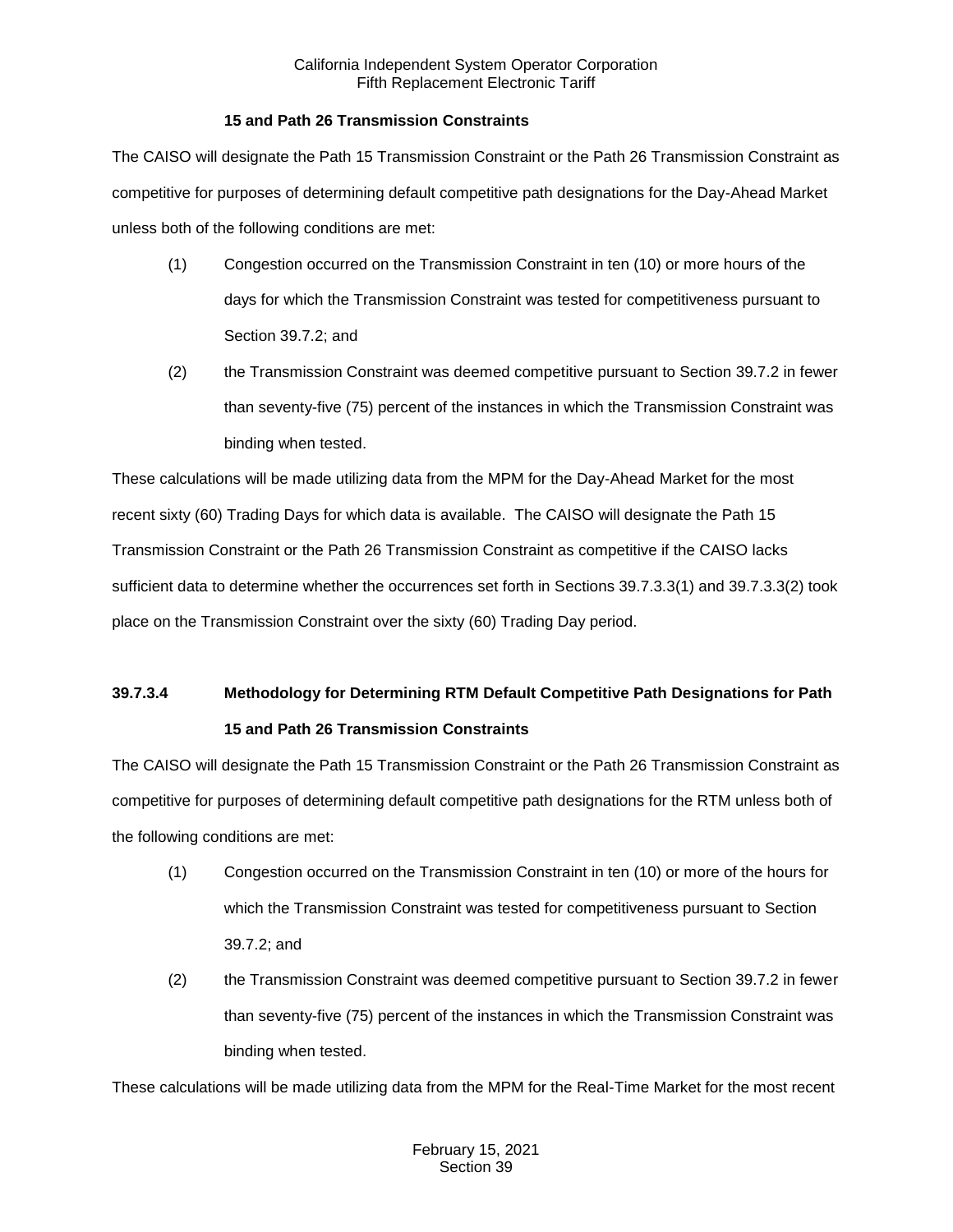#### **15 and Path 26 Transmission Constraints**

The CAISO will designate the Path 15 Transmission Constraint or the Path 26 Transmission Constraint as competitive for purposes of determining default competitive path designations for the Day-Ahead Market unless both of the following conditions are met:

- (1) Congestion occurred on the Transmission Constraint in ten (10) or more hours of the days for which the Transmission Constraint was tested for competitiveness pursuant to Section 39.7.2; and
- (2) the Transmission Constraint was deemed competitive pursuant to Section 39.7.2 in fewer than seventy-five (75) percent of the instances in which the Transmission Constraint was binding when tested.

These calculations will be made utilizing data from the MPM for the Day-Ahead Market for the most recent sixty (60) Trading Days for which data is available. The CAISO will designate the Path 15 Transmission Constraint or the Path 26 Transmission Constraint as competitive if the CAISO lacks sufficient data to determine whether the occurrences set forth in Sections 39.7.3.3(1) and 39.7.3.3(2) took place on the Transmission Constraint over the sixty (60) Trading Day period.

# **39.7.3.4 Methodology for Determining RTM Default Competitive Path Designations for Path 15 and Path 26 Transmission Constraints**

The CAISO will designate the Path 15 Transmission Constraint or the Path 26 Transmission Constraint as competitive for purposes of determining default competitive path designations for the RTM unless both of the following conditions are met:

- (1) Congestion occurred on the Transmission Constraint in ten (10) or more of the hours for which the Transmission Constraint was tested for competitiveness pursuant to Section 39.7.2; and
- (2) the Transmission Constraint was deemed competitive pursuant to Section 39.7.2 in fewer than seventy-five (75) percent of the instances in which the Transmission Constraint was binding when tested.

These calculations will be made utilizing data from the MPM for the Real-Time Market for the most recent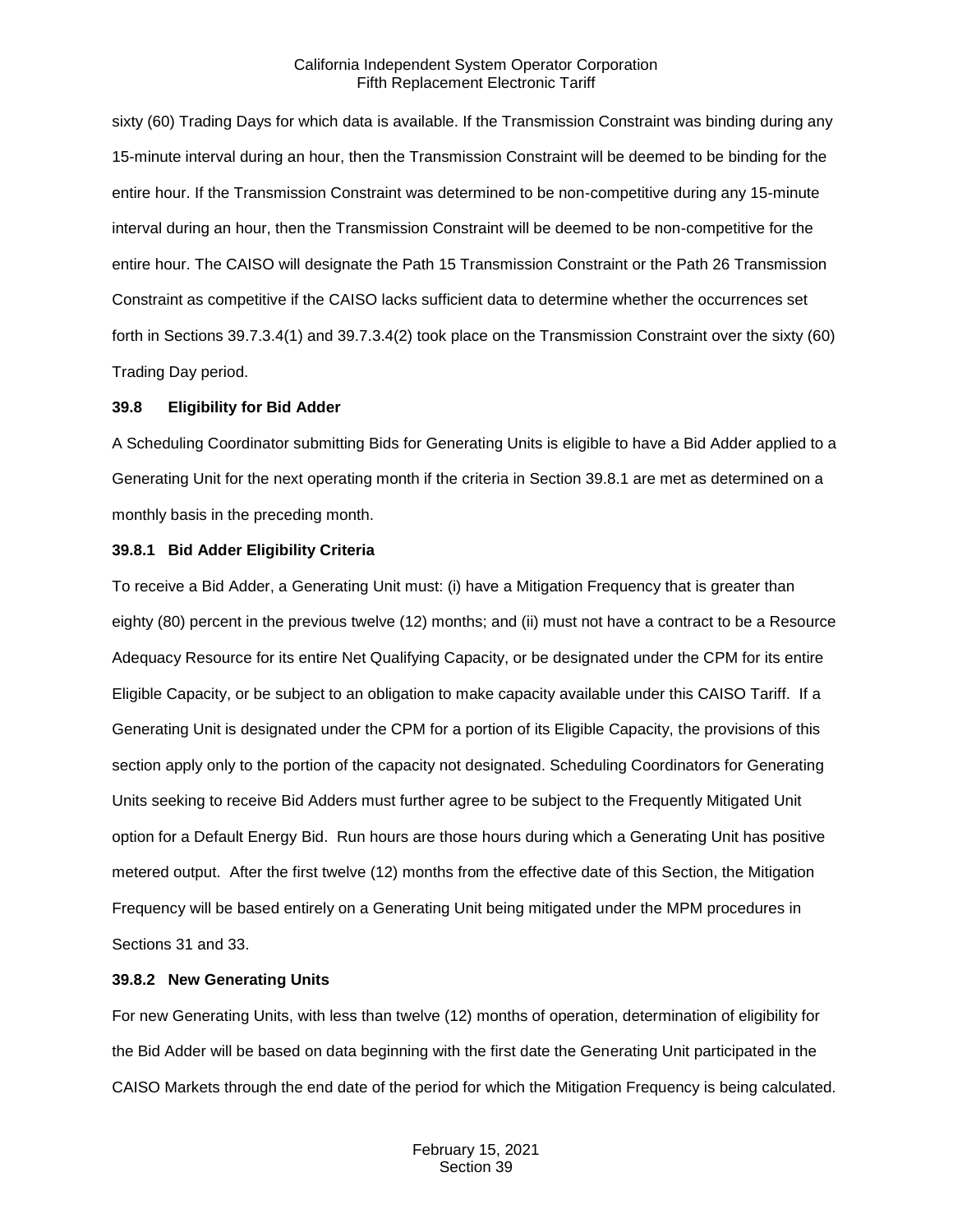sixty (60) Trading Days for which data is available. If the Transmission Constraint was binding during any 15-minute interval during an hour, then the Transmission Constraint will be deemed to be binding for the entire hour. If the Transmission Constraint was determined to be non-competitive during any 15-minute interval during an hour, then the Transmission Constraint will be deemed to be non-competitive for the entire hour. The CAISO will designate the Path 15 Transmission Constraint or the Path 26 Transmission Constraint as competitive if the CAISO lacks sufficient data to determine whether the occurrences set forth in Sections 39.7.3.4(1) and 39.7.3.4(2) took place on the Transmission Constraint over the sixty (60) Trading Day period.

#### <span id="page-26-0"></span>**39.8 Eligibility for Bid Adder**

A Scheduling Coordinator submitting Bids for Generating Units is eligible to have a Bid Adder applied to a Generating Unit for the next operating month if the criteria in Section 39.8.1 are met as determined on a monthly basis in the preceding month.

#### <span id="page-26-1"></span>**39.8.1 Bid Adder Eligibility Criteria**

To receive a Bid Adder, a Generating Unit must: (i) have a Mitigation Frequency that is greater than eighty (80) percent in the previous twelve (12) months; and (ii) must not have a contract to be a Resource Adequacy Resource for its entire Net Qualifying Capacity, or be designated under the CPM for its entire Eligible Capacity, or be subject to an obligation to make capacity available under this CAISO Tariff. If a Generating Unit is designated under the CPM for a portion of its Eligible Capacity, the provisions of this section apply only to the portion of the capacity not designated. Scheduling Coordinators for Generating Units seeking to receive Bid Adders must further agree to be subject to the Frequently Mitigated Unit option for a Default Energy Bid. Run hours are those hours during which a Generating Unit has positive metered output. After the first twelve (12) months from the effective date of this Section, the Mitigation Frequency will be based entirely on a Generating Unit being mitigated under the MPM procedures in Sections 31 and 33.

#### <span id="page-26-2"></span>**39.8.2 New Generating Units**

For new Generating Units, with less than twelve (12) months of operation, determination of eligibility for the Bid Adder will be based on data beginning with the first date the Generating Unit participated in the CAISO Markets through the end date of the period for which the Mitigation Frequency is being calculated.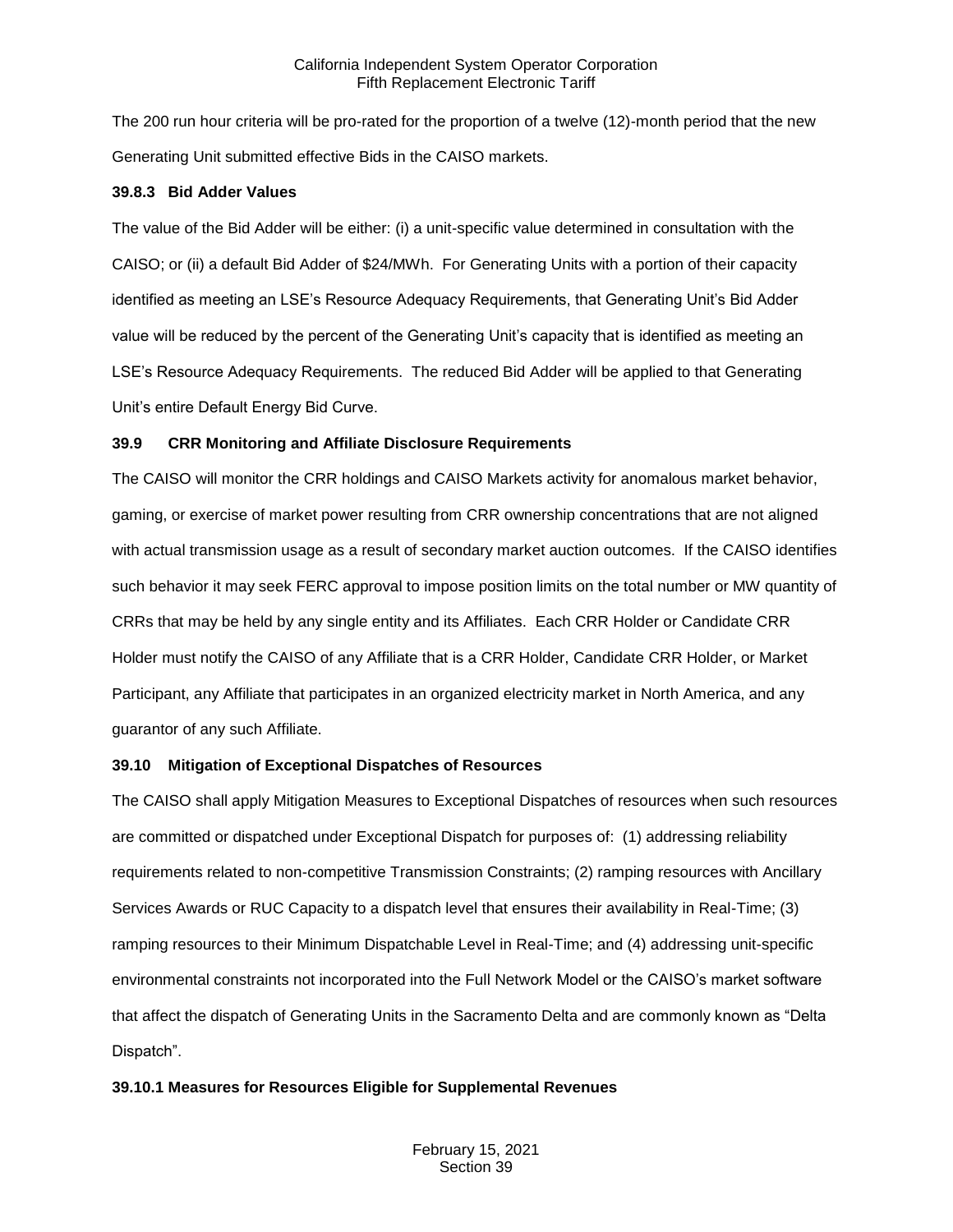The 200 run hour criteria will be pro-rated for the proportion of a twelve (12)-month period that the new Generating Unit submitted effective Bids in the CAISO markets.

#### <span id="page-27-0"></span>**39.8.3 Bid Adder Values**

The value of the Bid Adder will be either: (i) a unit-specific value determined in consultation with the CAISO; or (ii) a default Bid Adder of \$24/MWh. For Generating Units with a portion of their capacity identified as meeting an LSE's Resource Adequacy Requirements, that Generating Unit's Bid Adder value will be reduced by the percent of the Generating Unit's capacity that is identified as meeting an LSE's Resource Adequacy Requirements. The reduced Bid Adder will be applied to that Generating Unit's entire Default Energy Bid Curve.

#### <span id="page-27-1"></span>**39.9 CRR Monitoring and Affiliate Disclosure Requirements**

The CAISO will monitor the CRR holdings and CAISO Markets activity for anomalous market behavior, gaming, or exercise of market power resulting from CRR ownership concentrations that are not aligned with actual transmission usage as a result of secondary market auction outcomes. If the CAISO identifies such behavior it may seek FERC approval to impose position limits on the total number or MW quantity of CRRs that may be held by any single entity and its Affiliates. Each CRR Holder or Candidate CRR Holder must notify the CAISO of any Affiliate that is a CRR Holder, Candidate CRR Holder, or Market Participant, any Affiliate that participates in an organized electricity market in North America, and any guarantor of any such Affiliate.

## <span id="page-27-2"></span>**39.10 Mitigation of Exceptional Dispatches of Resources**

The CAISO shall apply Mitigation Measures to Exceptional Dispatches of resources when such resources are committed or dispatched under Exceptional Dispatch for purposes of: (1) addressing reliability requirements related to non-competitive Transmission Constraints; (2) ramping resources with Ancillary Services Awards or RUC Capacity to a dispatch level that ensures their availability in Real-Time; (3) ramping resources to their Minimum Dispatchable Level in Real-Time; and (4) addressing unit-specific environmental constraints not incorporated into the Full Network Model or the CAISO's market software that affect the dispatch of Generating Units in the Sacramento Delta and are commonly known as "Delta Dispatch".

## <span id="page-27-3"></span>**39.10.1 Measures for Resources Eligible for Supplemental Revenues**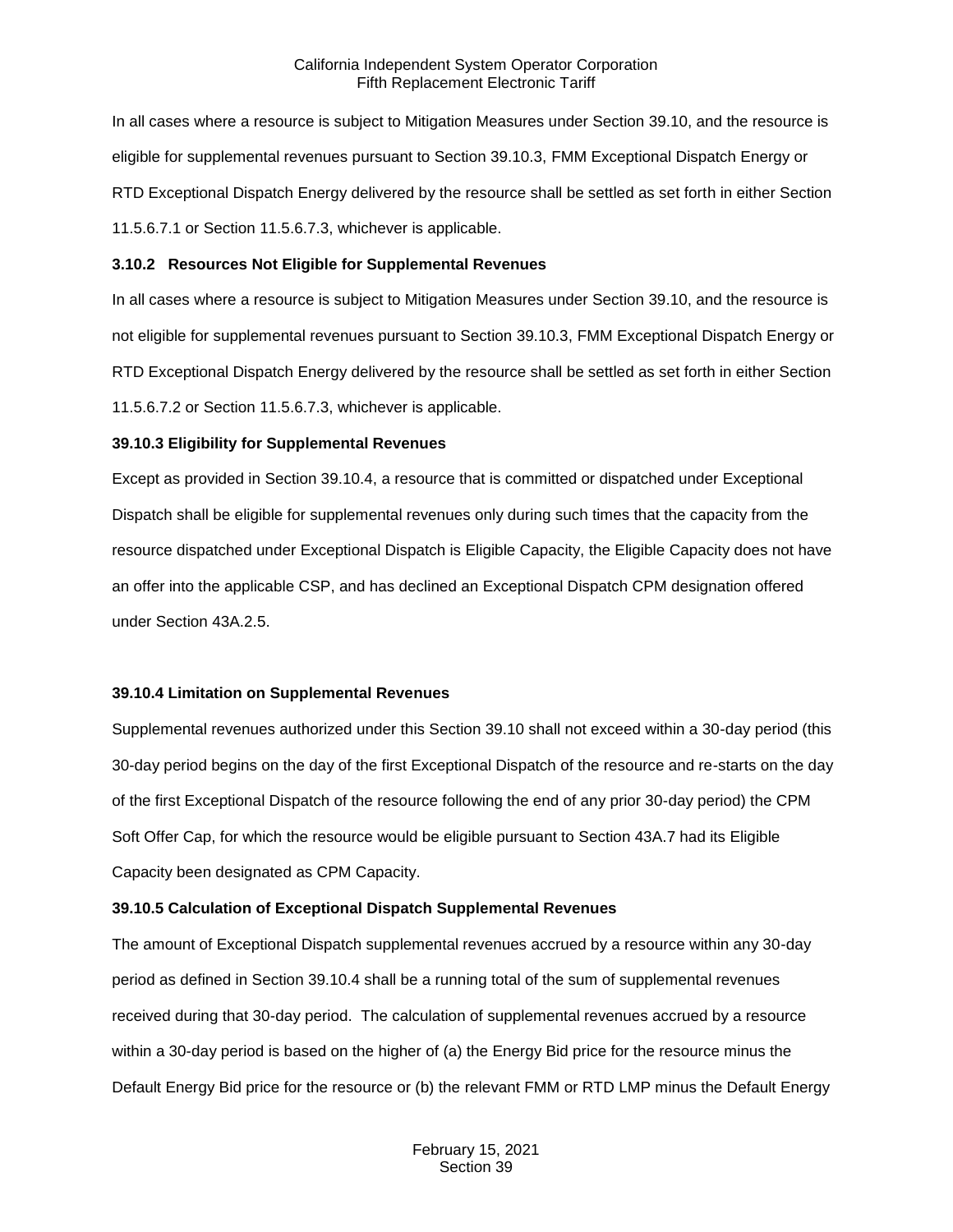In all cases where a resource is subject to Mitigation Measures under Section 39.10, and the resource is eligible for supplemental revenues pursuant to Section 39.10.3, FMM Exceptional Dispatch Energy or RTD Exceptional Dispatch Energy delivered by the resource shall be settled as set forth in either Section 11.5.6.7.1 or Section 11.5.6.7.3, whichever is applicable.

#### <span id="page-28-0"></span>**3.10.2 Resources Not Eligible for Supplemental Revenues**

In all cases where a resource is subject to Mitigation Measures under Section 39.10, and the resource is not eligible for supplemental revenues pursuant to Section 39.10.3, FMM Exceptional Dispatch Energy or RTD Exceptional Dispatch Energy delivered by the resource shall be settled as set forth in either Section 11.5.6.7.2 or Section 11.5.6.7.3, whichever is applicable.

#### <span id="page-28-1"></span>**39.10.3 Eligibility for Supplemental Revenues**

Except as provided in Section 39.10.4, a resource that is committed or dispatched under Exceptional Dispatch shall be eligible for supplemental revenues only during such times that the capacity from the resource dispatched under Exceptional Dispatch is Eligible Capacity, the Eligible Capacity does not have an offer into the applicable CSP, and has declined an Exceptional Dispatch CPM designation offered under Section 43A.2.5.

## <span id="page-28-2"></span>**39.10.4 Limitation on Supplemental Revenues**

Supplemental revenues authorized under this Section 39.10 shall not exceed within a 30-day period (this 30-day period begins on the day of the first Exceptional Dispatch of the resource and re-starts on the day of the first Exceptional Dispatch of the resource following the end of any prior 30-day period) the CPM Soft Offer Cap, for which the resource would be eligible pursuant to Section 43A.7 had its Eligible Capacity been designated as CPM Capacity.

## <span id="page-28-3"></span>**39.10.5 Calculation of Exceptional Dispatch Supplemental Revenues**

The amount of Exceptional Dispatch supplemental revenues accrued by a resource within any 30-day period as defined in Section 39.10.4 shall be a running total of the sum of supplemental revenues received during that 30-day period. The calculation of supplemental revenues accrued by a resource within a 30-day period is based on the higher of (a) the Energy Bid price for the resource minus the Default Energy Bid price for the resource or (b) the relevant FMM or RTD LMP minus the Default Energy